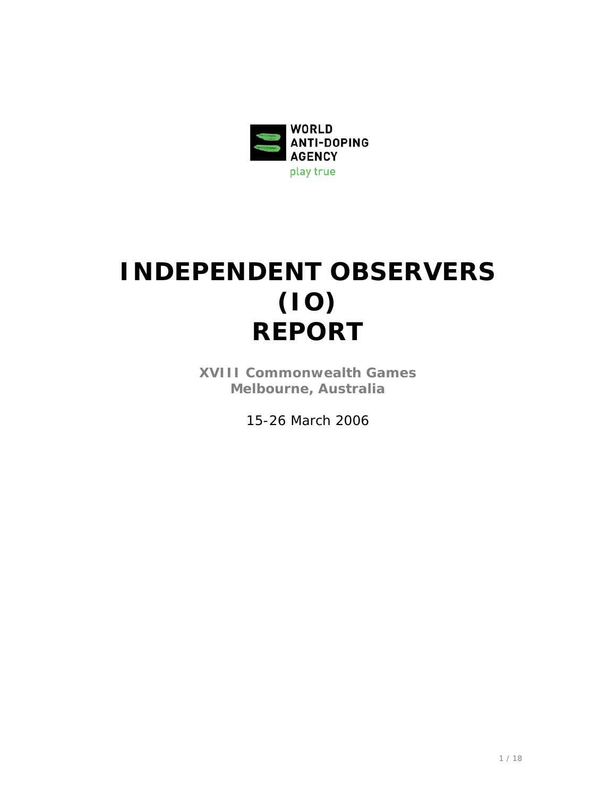

# **INDEPENDENT OBSERVERS (IO) REPORT**

**XVIII Commonwealth Games Melbourne, Australia**

*15-26 March 2006*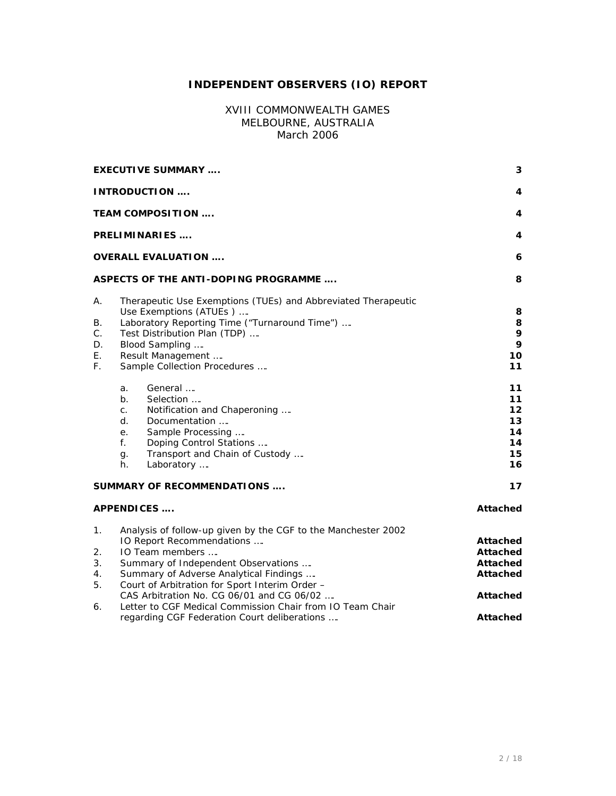# **INDEPENDENT OBSERVERS (IO) REPORT**

## XVIII COMMONWEALTH GAMES MELBOURNE, AUSTRALIA *March 2006*

|                                              | <b>EXECUTIVE SUMMARY </b>                                                                                                                                                                                                                                                                                                                                                                                  | 3                                                                                         |
|----------------------------------------------|------------------------------------------------------------------------------------------------------------------------------------------------------------------------------------------------------------------------------------------------------------------------------------------------------------------------------------------------------------------------------------------------------------|-------------------------------------------------------------------------------------------|
|                                              | <b>INTRODUCTION </b>                                                                                                                                                                                                                                                                                                                                                                                       | 4                                                                                         |
| <b>TEAM COMPOSITION </b>                     | 4                                                                                                                                                                                                                                                                                                                                                                                                          |                                                                                           |
| <b>PRELIMINARIES </b>                        | 4                                                                                                                                                                                                                                                                                                                                                                                                          |                                                                                           |
|                                              | <b>OVERALL EVALUATION </b>                                                                                                                                                                                                                                                                                                                                                                                 | 6                                                                                         |
|                                              | <b>ASPECTS OF THE ANTI-DOPING PROGRAMME</b>                                                                                                                                                                                                                                                                                                                                                                | 8                                                                                         |
| А.<br>В.<br>С.<br>D.<br>Ε.<br>F.             | 8<br>8<br>9<br>9<br>10<br>11                                                                                                                                                                                                                                                                                                                                                                               |                                                                                           |
|                                              | General<br>a.<br>$b_{\cdot}$<br>Selection<br>Notification and Chaperoning<br>C <sub>1</sub><br>d.<br>Documentation<br>Sample Processing<br>е.<br>f.<br>Doping Control Stations<br>Transport and Chain of Custody<br>g.<br>h.<br>Laboratory                                                                                                                                                                 | 11<br>11<br>$12 \,$<br>13<br>14<br>14<br>15<br>16                                         |
|                                              | SUMMARY OF RECOMMENDATIONS                                                                                                                                                                                                                                                                                                                                                                                 | 17                                                                                        |
|                                              | <b>APPENDICES</b>                                                                                                                                                                                                                                                                                                                                                                                          | <b>Attached</b>                                                                           |
| $\mathbf{1}$ .<br>2.<br>3.<br>4.<br>5.<br>6. | Analysis of follow-up given by the CGF to the Manchester 2002<br>IO Report Recommendations<br>IO Team members<br>Summary of Independent Observations<br>Summary of Adverse Analytical Findings<br>Court of Arbitration for Sport Interim Order -<br>CAS Arbitration No. CG 06/01 and CG 06/02<br>Letter to CGF Medical Commission Chair from IO Team Chair<br>regarding CGF Federation Court deliberations | Attached<br><b>Attached</b><br>Attached<br>Attached<br><b>Attached</b><br><b>Attached</b> |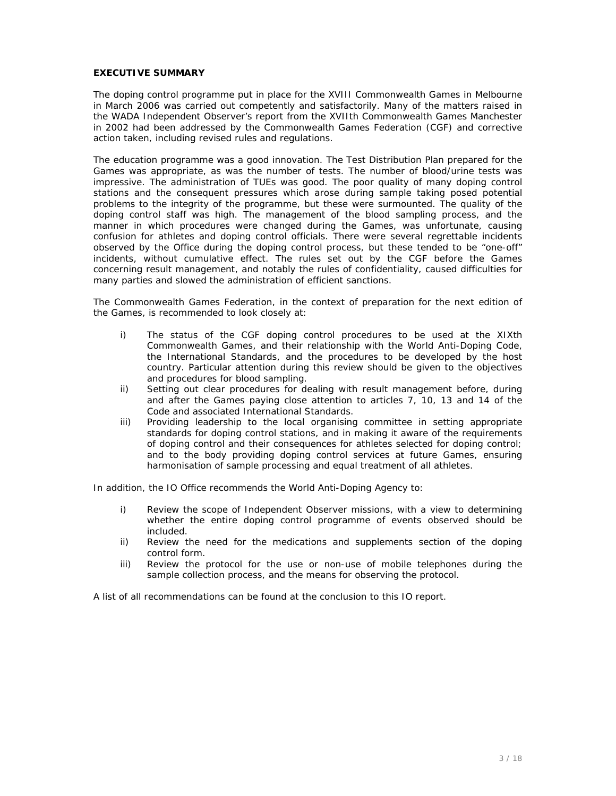#### **EXECUTIVE SUMMARY**

The doping control programme put in place for the XVIII Commonwealth Games in Melbourne in March 2006 was carried out competently and satisfactorily. Many of the matters raised in the WADA Independent Observer's report from the XVIIth Commonwealth Games Manchester in 2002 had been addressed by the Commonwealth Games Federation (CGF) and corrective action taken, including revised rules and regulations.

The education programme was a good innovation. The Test Distribution Plan prepared for the Games was appropriate, as was the number of tests. The number of blood/urine tests was impressive. The administration of TUEs was good. The poor quality of many doping control stations and the consequent pressures which arose during sample taking posed potential problems to the integrity of the programme, but these were surmounted. The quality of the doping control staff was high. The management of the blood sampling process, and the manner in which procedures were changed during the Games, was unfortunate, causing confusion for athletes and doping control officials. There were several regrettable incidents observed by the Office during the doping control process, but these tended to be "one-off" incidents, without cumulative effect. The rules set out by the CGF before the Games concerning result management, and notably the rules of confidentiality, caused difficulties for many parties and slowed the administration of efficient sanctions.

The Commonwealth Games Federation, in the context of preparation for the next edition of the Games, is recommended to look closely at:

- i) The status of the CGF doping control procedures to be used at the XIXth Commonwealth Games, and their relationship with the World Anti-Doping Code, the International Standards, and the procedures to be developed by the host country. Particular attention during this review should be given to the objectives and procedures for blood sampling.
- ii) Setting out clear procedures for dealing with result management before, during and after the Games paying close attention to articles 7, 10, 13 and 14 of the Code and associated International Standards.
- iii) Providing leadership to the local organising committee in setting appropriate standards for doping control stations, and in making it aware of the requirements of doping control and their consequences for athletes selected for doping control: and to the body providing doping control services at future Games, ensuring harmonisation of sample processing and equal treatment of all athletes.

In addition, the IO Office recommends the World Anti-Doping Agency to:

- i) Review the scope of Independent Observer missions, with a view to determining whether the entire doping control programme of events observed should be included.
- ii) Review the need for the medications and supplements section of the doping control form.
- iii) Review the protocol for the use or non-use of mobile telephones during the sample collection process, and the means for observing the protocol.

A list of all recommendations can be found at the conclusion to this IO report.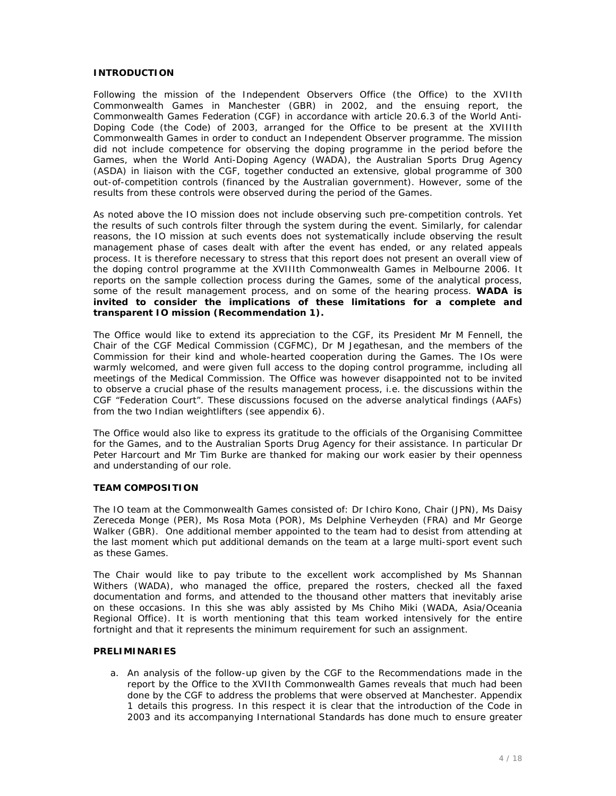#### **INTRODUCTION**

Following the mission of the Independent Observers Office (the Office) to the XVIIth Commonwealth Games in Manchester (GBR) in 2002, and the ensuing report, the Commonwealth Games Federation (CGF) in accordance with article 20.6.3 of the World Anti-Doping Code (the Code) of 2003, arranged for the Office to be present at the XVIIIth Commonwealth Games in order to conduct an Independent Observer programme. The mission did not include competence for observing the doping programme in the period before the Games, when the World Anti-Doping Agency (WADA), the Australian Sports Drug Agency (ASDA) in liaison with the CGF, together conducted an extensive, global programme of 300 out-of-competition controls (financed by the Australian government). However, some of the results from these controls were observed during the period of the Games.

As noted above the IO mission does not include observing such pre-competition controls. Yet the results of such controls filter through the system during the event. Similarly, for calendar reasons, the IO mission at such events does not systematically include observing the result management phase of cases dealt with after the event has ended, or any related appeals process. It is therefore necessary to stress that this report does not present an overall view of the doping control programme at the XVIIIth Commonwealth Games in Melbourne 2006. It reports on the sample collection process during the Games, some of the analytical process, some of the result management process, and on some of the hearing process. *WADA is invited to consider the implications of these limitations for a complete and transparent IO mission (Recommendation 1).*

The Office would like to extend its appreciation to the CGF, its President Mr M Fennell, the Chair of the CGF Medical Commission (CGFMC), Dr M Jegathesan, and the members of the Commission for their kind and whole-hearted cooperation during the Games. The IOs were warmly welcomed, and were given full access to the doping control programme, including all meetings of the Medical Commission. The Office was however disappointed not to be invited to observe a crucial phase of the results management process, i.e. the discussions within the CGF "Federation Court". These discussions focused on the adverse analytical findings (AAFs) from the two Indian weightlifters (see appendix 6).

The Office would also like to express its gratitude to the officials of the Organising Committee for the Games, and to the Australian Sports Drug Agency for their assistance. In particular Dr Peter Harcourt and Mr Tim Burke are thanked for making our work easier by their openness and understanding of our role.

#### **TEAM COMPOSITION**

The IO team at the Commonwealth Games consisted of: Dr Ichiro Kono, Chair (JPN), Ms Daisy Zereceda Monge (PER), Ms Rosa Mota (POR), Ms Delphine Verheyden (FRA) and Mr George Walker (GBR). One additional member appointed to the team had to desist from attending at the last moment which put additional demands on the team at a large multi-sport event such as these Games.

The Chair would like to pay tribute to the excellent work accomplished by Ms Shannan Withers (WADA), who managed the office, prepared the rosters, checked all the faxed documentation and forms, and attended to the thousand other matters that inevitably arise on these occasions. In this she was ably assisted by Ms Chiho Miki (WADA, Asia/Oceania Regional Office). It is worth mentioning that this team worked intensively for the entire fortnight and that it represents the minimum requirement for such an assignment.

#### **PRELIMINARIES**

a. An analysis of the follow-up given by the CGF to the Recommendations made in the report by the Office to the XVIIth Commonwealth Games reveals that much had been done by the CGF to address the problems that were observed at Manchester. Appendix 1 details this progress. In this respect it is clear that the introduction of the Code in 2003 and its accompanying International Standards has done much to ensure greater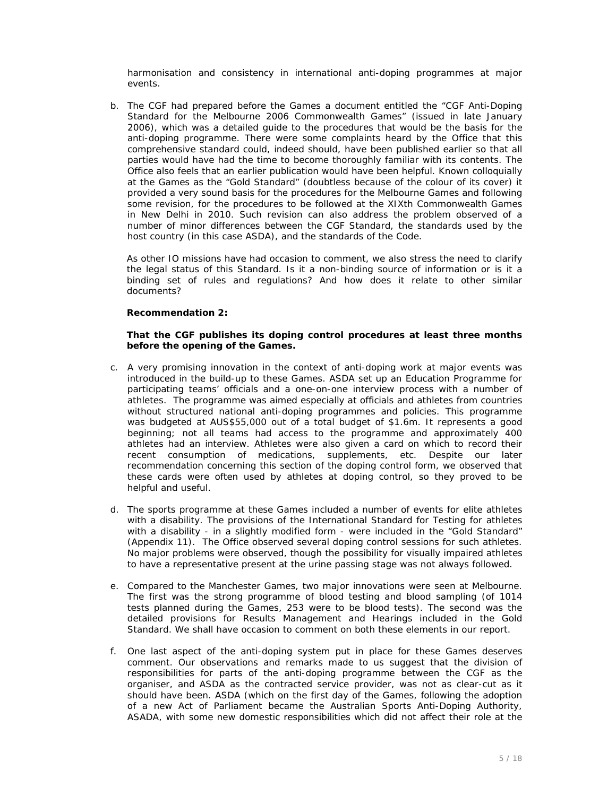harmonisation and consistency in international anti-doping programmes at major events.

b. The CGF had prepared before the Games a document entitled the "CGF Anti-Doping Standard for the Melbourne 2006 Commonwealth Games" (issued in late January 2006), which was a detailed guide to the procedures that would be the basis for the anti-doping programme. There were some complaints heard by the Office that this comprehensive standard could, indeed should, have been published earlier so that all parties would have had the time to become thoroughly familiar with its contents. The Office also feels that an earlier publication would have been helpful. Known colloquially at the Games as the "Gold Standard" (doubtless because of the colour of its cover) it provided a very sound basis for the procedures for the Melbourne Games and following some revision, for the procedures to be followed at the XIXth Commonwealth Games in New Delhi in 2010. Such revision can also address the problem observed of a number of minor differences between the CGF Standard, the standards used by the host country (in this case ASDA), and the standards of the Code.

As other IO missions have had occasion to comment, we also stress the need to clarify the legal status of this Standard. Is it a non-binding source of information or is it a binding set of rules and regulations? And how does it relate to other similar documents?

#### *Recommendation 2:*

#### *That the CGF publishes its doping control procedures at least three months before the opening of the Games.*

- c. A very promising innovation in the context of anti-doping work at major events was introduced in the build-up to these Games. ASDA set up an Education Programme for participating teams' officials and a one-on-one interview process with a number of athletes. The programme was aimed especially at officials and athletes from countries without structured national anti-doping programmes and policies. This programme was budgeted at AUS\$55,000 out of a total budget of \$1.6m. It represents a good beginning; not all teams had access to the programme and approximately 400 athletes had an interview. Athletes were also given a card on which to record their recent consumption of medications, supplements, etc. Despite our later recommendation concerning this section of the doping control form, we observed that these cards were often used by athletes at doping control, so they proved to be helpful and useful.
- d. The sports programme at these Games included a number of events for elite athletes with a disability. The provisions of the International Standard for Testing for athletes with a disability - in a slightly modified form - were included in the "Gold Standard" (Appendix 11). The Office observed several doping control sessions for such athletes. No major problems were observed, though the possibility for visually impaired athletes to have a representative present at the urine passing stage was not always followed.
- e. Compared to the Manchester Games, two major innovations were seen at Melbourne. The first was the strong programme of blood testing and blood sampling (of 1014 tests planned during the Games, 253 were to be blood tests). The second was the detailed provisions for Results Management and Hearings included in the Gold Standard. We shall have occasion to comment on both these elements in our report.
- f. One last aspect of the anti-doping system put in place for these Games deserves comment. Our observations and remarks made to us suggest that the division of responsibilities for parts of the anti-doping programme between the CGF as the organiser, and ASDA as the contracted service provider, was not as clear-cut as it should have been. ASDA (which on the first day of the Games, following the adoption of a new Act of Parliament became the Australian Sports Anti-Doping Authority, ASADA, with some new domestic responsibilities which did not affect their role at the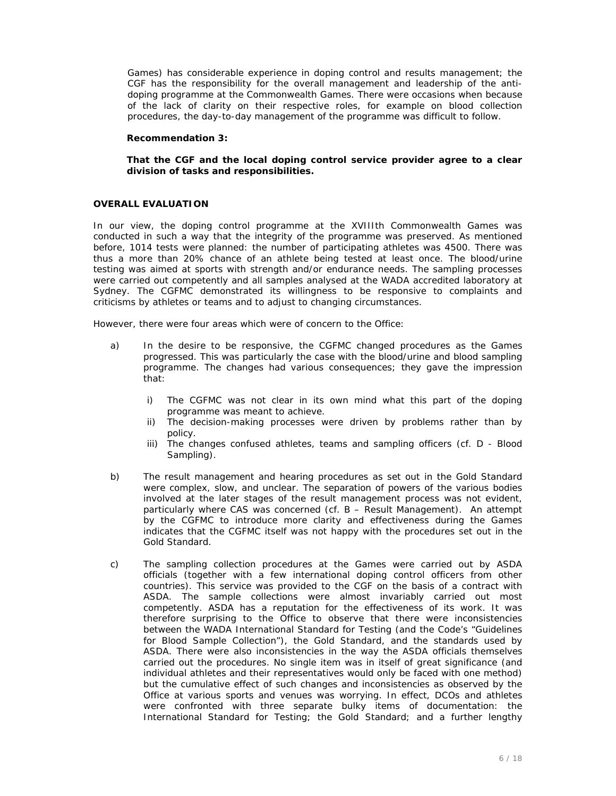Games) has considerable experience in doping control and results management; the CGF has the responsibility for the overall management and leadership of the antidoping programme at the Commonwealth Games. There were occasions when because of the lack of clarity on their respective roles, for example on blood collection procedures, the day-to-day management of the programme was difficult to follow.

#### *Recommendation 3:*

#### *That the CGF and the local doping control service provider agree to a clear division of tasks and responsibilities.*

#### **OVERALL EVALUATION**

In our view, the doping control programme at the XVIIIth Commonwealth Games was conducted in such a way that the integrity of the programme was preserved. As mentioned before, 1014 tests were planned: the number of participating athletes was 4500. There was thus a more than 20% chance of an athlete being tested at least once. The blood/urine testing was aimed at sports with strength and/or endurance needs. The sampling processes were carried out competently and all samples analysed at the WADA accredited laboratory at Sydney. The CGFMC demonstrated its willingness to be responsive to complaints and criticisms by athletes or teams and to adjust to changing circumstances.

However, there were four areas which were of concern to the Office:

- a) In the desire to be responsive, the CGFMC changed procedures as the Games progressed. This was particularly the case with the blood/urine and blood sampling programme. The changes had various consequences; they gave the impression that:
	- i) The CGFMC was not clear in its own mind what this part of the doping programme was meant to achieve.
	- ii) The decision-making processes were driven by problems rather than by policy.
	- iii) The changes confused athletes, teams and sampling officers (cf. D Blood Sampling).
- b) The result management and hearing procedures as set out in the Gold Standard were complex, slow, and unclear. The separation of powers of the various bodies involved at the later stages of the result management process was not evident, particularly where CAS was concerned (cf. B – Result Management). An attempt by the CGFMC to introduce more clarity and effectiveness during the Games indicates that the CGFMC itself was not happy with the procedures set out in the Gold Standard.
- c) The sampling collection procedures at the Games were carried out by ASDA officials (together with a few international doping control officers from other countries). This service was provided to the CGF on the basis of a contract with ASDA. The sample collections were almost invariably carried out most competently. ASDA has a reputation for the effectiveness of its work. It was therefore surprising to the Office to observe that there were inconsistencies between the WADA International Standard for Testing (and the Code's "Guidelines for Blood Sample Collection"), the Gold Standard, and the standards used by ASDA. There were also inconsistencies in the way the ASDA officials themselves carried out the procedures. No single item was in itself of great significance (and individual athletes and their representatives would only be faced with one method) but the cumulative effect of such changes and inconsistencies as observed by the Office at various sports and venues was worrying. In effect, DCOs and athletes were confronted with three separate bulky items of documentation: the International Standard for Testing; the Gold Standard; and a further lengthy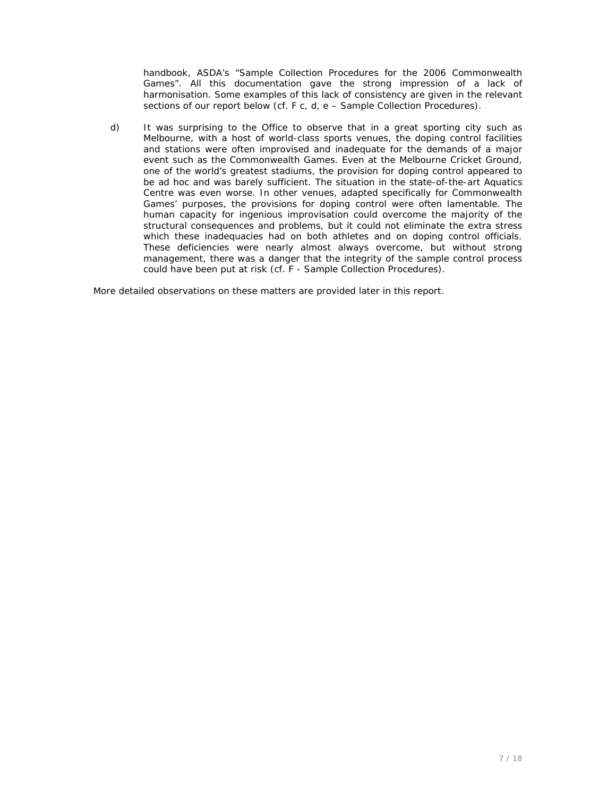handbook, ASDA's "Sample Collection Procedures for the 2006 Commonwealth Games". All this documentation gave the strong impression of a lack of harmonisation. Some examples of this lack of consistency are given in the relevant sections of our report below (cf. F c, d, e – Sample Collection Procedures).

d) It was surprising to the Office to observe that in a great sporting city such as Melbourne, with a host of world-class sports venues, the doping control facilities and stations were often improvised and inadequate for the demands of a major event such as the Commonwealth Games. Even at the Melbourne Cricket Ground, one of the world's greatest stadiums, the provision for doping control appeared to be ad hoc and was barely sufficient. The situation in the state-of-the-art Aquatics Centre was even worse. In other venues, adapted specifically for Commonwealth Games' purposes, the provisions for doping control were often lamentable. The human capacity for ingenious improvisation could overcome the majority of the structural consequences and problems, but it could not eliminate the extra stress which these inadequacies had on both athletes and on doping control officials. These deficiencies were nearly almost always overcome, but without strong management, there was a danger that the integrity of the sample control process could have been put at risk (cf. F - Sample Collection Procedures).

More detailed observations on these matters are provided later in this report.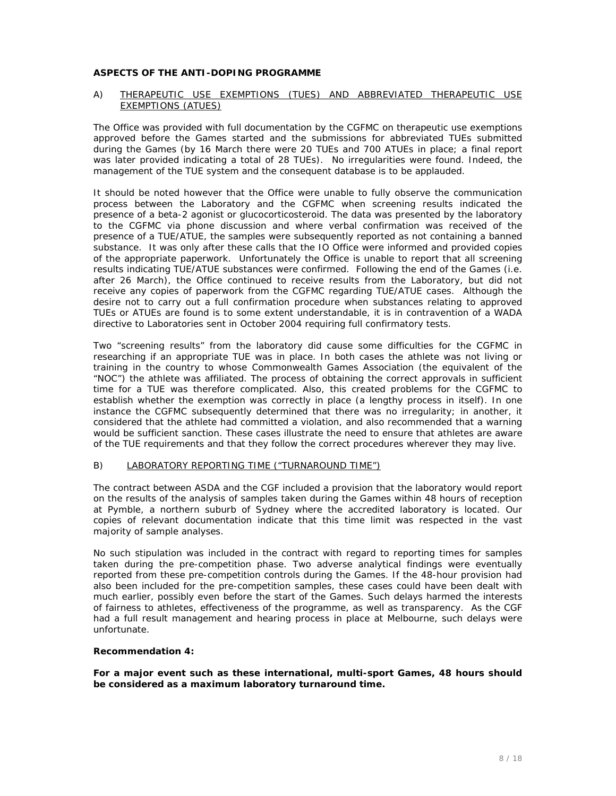#### **ASPECTS OF THE ANTI-DOPING PROGRAMME**

#### A) THERAPEUTIC USE EXEMPTIONS (TUES) AND ABBREVIATED THERAPEUTIC USE EXEMPTIONS (ATUES)

The Office was provided with full documentation by the CGFMC on therapeutic use exemptions approved before the Games started and the submissions for abbreviated TUEs submitted during the Games (by 16 March there were 20 TUEs and 700 ATUEs in place; a final report was later provided indicating a total of 28 TUEs). No irregularities were found. Indeed, the management of the TUE system and the consequent database is to be applauded.

It should be noted however that the Office were unable to fully observe the communication process between the Laboratory and the CGFMC when screening results indicated the presence of a beta-2 agonist or glucocorticosteroid. The data was presented by the laboratory to the CGFMC via phone discussion and where verbal confirmation was received of the presence of a TUE/ATUE, the samples were subsequently reported as not containing a banned substance. It was only after these calls that the IO Office were informed and provided copies of the appropriate paperwork. Unfortunately the Office is unable to report that all screening results indicating TUE/ATUE substances were confirmed. Following the end of the Games (i.e. after 26 March), the Office continued to receive results from the Laboratory, but did not receive any copies of paperwork from the CGFMC regarding TUE/ATUE cases. Although the desire not to carry out a full confirmation procedure when substances relating to approved TUEs or ATUEs are found is to some extent understandable, it is in contravention of a WADA directive to Laboratories sent in October 2004 requiring full confirmatory tests.

Two "screening results" from the laboratory did cause some difficulties for the CGFMC in researching if an appropriate TUE was in place. In both cases the athlete was not living or training in the country to whose Commonwealth Games Association (the equivalent of the "NOC") the athlete was affiliated. The process of obtaining the correct approvals in sufficient time for a TUE was therefore complicated. Also, this created problems for the CGFMC to establish whether the exemption was correctly in place (a lengthy process in itself). In one instance the CGFMC subsequently determined that there was no irregularity; in another, it considered that the athlete had committed a violation, and also recommended that a warning would be sufficient sanction. These cases illustrate the need to ensure that athletes are aware of the TUE requirements and that they follow the correct procedures wherever they may live.

#### B) LABORATORY REPORTING TIME ("TURNAROUND TIME")

The contract between ASDA and the CGF included a provision that the laboratory would report on the results of the analysis of samples taken during the Games within 48 hours of reception at Pymble, a northern suburb of Sydney where the accredited laboratory is located. Our copies of relevant documentation indicate that this time limit was respected in the vast majority of sample analyses.

No such stipulation was included in the contract with regard to reporting times for samples taken during the pre-competition phase. Two adverse analytical findings were eventually reported from these pre-competition controls during the Games. If the 48-hour provision had also been included for the pre-competition samples, these cases could have been dealt with much earlier, possibly even before the start of the Games. Such delays harmed the interests of fairness to athletes, effectiveness of the programme, as well as transparency. As the CGF had a full result management and hearing process in place at Melbourne, such delays were unfortunate.

#### *Recommendation 4:*

*For a major event such as these international, multi-sport Games, 48 hours should be considered as a maximum laboratory turnaround time.*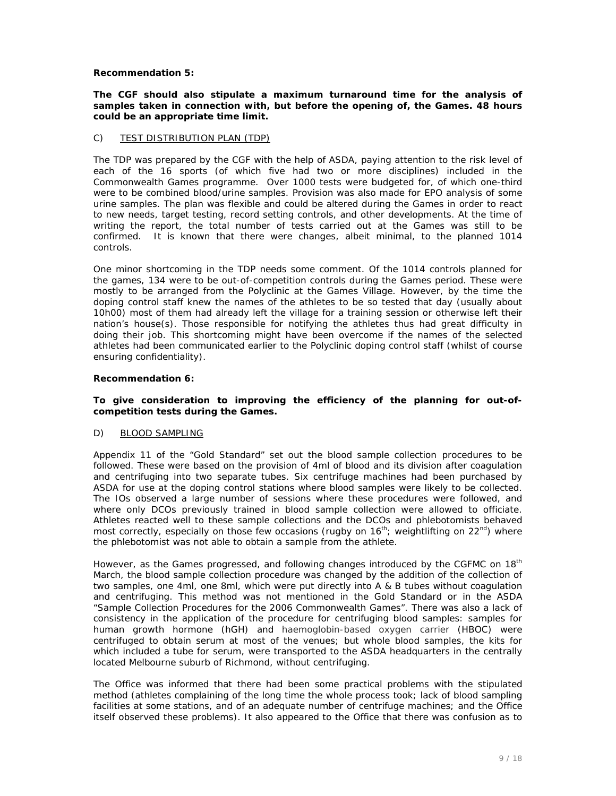#### *Recommendation 5:*

#### *The CGF should also stipulate a maximum turnaround time for the analysis of samples taken in connection with, but before the opening of, the Games. 48 hours could be an appropriate time limit.*

## C) TEST DISTRIBUTION PLAN (TDP)

The TDP was prepared by the CGF with the help of ASDA, paying attention to the risk level of each of the 16 sports (of which five had two or more disciplines) included in the Commonwealth Games programme. Over 1000 tests were budgeted for, of which one-third were to be combined blood/urine samples. Provision was also made for EPO analysis of some urine samples. The plan was flexible and could be altered during the Games in order to react to new needs, target testing, record setting controls, and other developments. At the time of writing the report, the total number of tests carried out at the Games was still to be confirmed. It is known that there were changes, albeit minimal, to the planned 1014 controls.

One minor shortcoming in the TDP needs some comment. Of the 1014 controls planned for the games, 134 were to be out-of-competition controls during the Games period. These were mostly to be arranged from the Polyclinic at the Games Village. However, by the time the doping control staff knew the names of the athletes to be so tested that day (usually about 10h00) most of them had already left the village for a training session or otherwise left their nation's house(s). Those responsible for notifying the athletes thus had great difficulty in doing their job. This shortcoming might have been overcome if the names of the selected athletes had been communicated earlier to the Polyclinic doping control staff (whilst of course ensuring confidentiality).

#### *Recommendation 6:*

#### *To give consideration to improving the efficiency of the planning for out-ofcompetition tests during the Games.*

#### D) BLOOD SAMPLING

Appendix 11 of the "Gold Standard" set out the blood sample collection procedures to be followed. These were based on the provision of 4ml of blood and its division after coagulation and centrifuging into two separate tubes. Six centrifuge machines had been purchased by ASDA for use at the doping control stations where blood samples were likely to be collected. The IOs observed a large number of sessions where these procedures were followed, and where only DCOs previously trained in blood sample collection were allowed to officiate. Athletes reacted well to these sample collections and the DCOs and phlebotomists behaved most correctly, especially on those few occasions (rugby on  $16^{th}$ ; weightlifting on  $22^{nd}$ ) where the phlebotomist was not able to obtain a sample from the athlete.

However, as the Games progressed, and following changes introduced by the CGFMC on 18<sup>th</sup> March, the blood sample collection procedure was changed by the addition of the collection of two samples, one 4ml, one 8ml, which were put directly into A & B tubes without coagulation and centrifuging. This method was not mentioned in the Gold Standard or in the ASDA "Sample Collection Procedures for the 2006 Commonwealth Games". There was also a lack of consistency in the application of the procedure for centrifuging blood samples: samples for human growth hormone (hGH) and haemoglobin-based oxygen carrier (HBOC) were centrifuged to obtain serum at most of the venues; but whole blood samples, the kits for which included a tube for serum, were transported to the ASDA headquarters in the centrally located Melbourne suburb of Richmond, without centrifuging.

The Office was informed that there had been some practical problems with the stipulated method (athletes complaining of the long time the whole process took; lack of blood sampling facilities at some stations, and of an adequate number of centrifuge machines; and the Office itself observed these problems). It also appeared to the Office that there was confusion as to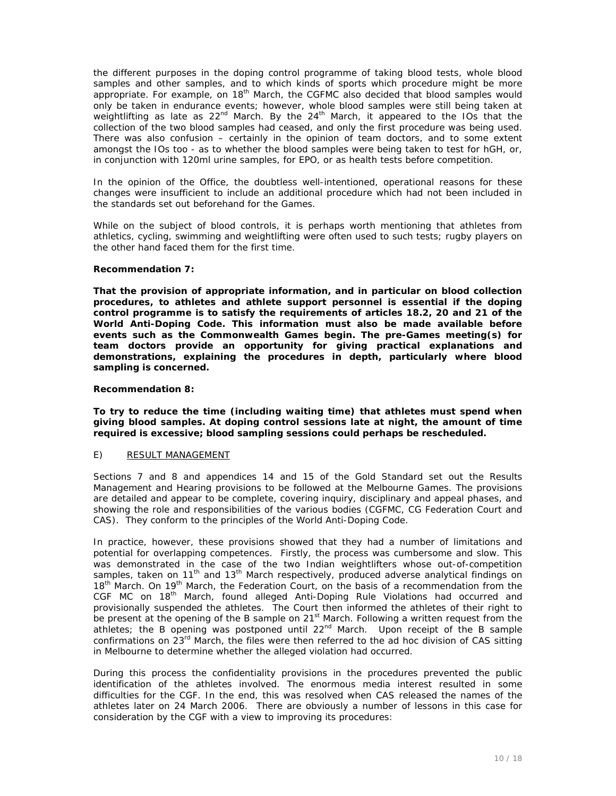the different purposes in the doping control programme of taking blood tests, whole blood samples and other samples, and to which kinds of sports which procedure might be more appropriate. For example, on 18<sup>th</sup> March, the CGFMC also decided that blood samples would only be taken in endurance events; however, whole blood samples were still being taken at weightlifting as late as  $22^{nd}$  March. By the  $24^{th}$  March, it appeared to the IOs that the collection of the two blood samples had ceased, and only the first procedure was being used. There was also confusion – certainly in the opinion of team doctors, and to some extent amongst the IOs too - as to whether the blood samples were being taken to test for hGH, or, in conjunction with 120ml urine samples, for EPO, or as health tests before competition.

In the opinion of the Office, the doubtless well-intentioned, operational reasons for these changes were insufficient to include an additional procedure which had not been included in the standards set out beforehand for the Games.

While on the subject of blood controls, it is perhaps worth mentioning that athletes from athletics, cycling, swimming and weightlifting were often used to such tests; rugby players on the other hand faced them for the first time.

#### *Recommendation 7:*

*That the provision of appropriate information, and in particular on blood collection procedures, to athletes and athlete support personnel is essential if the doping control programme is to satisfy the requirements of articles 18.2, 20 and 21 of the World Anti-Doping Code. This information must also be made available before events such as the Commonwealth Games begin. The pre-Games meeting(s) for team doctors provide an opportunity for giving practical explanations and demonstrations, explaining the procedures in depth, particularly where blood sampling is concerned.* 

#### *Recommendation 8:*

*To try to reduce the time (including waiting time) that athletes must spend when giving blood samples. At doping control sessions late at night, the amount of time required is excessive; blood sampling sessions could perhaps be rescheduled.* 

#### E) RESULT MANAGEMENT

Sections 7 and 8 and appendices 14 and 15 of the Gold Standard set out the Results Management and Hearing provisions to be followed at the Melbourne Games. The provisions are detailed and appear to be complete, covering inquiry, disciplinary and appeal phases, and showing the role and responsibilities of the various bodies (CGFMC, CG Federation Court and CAS). They conform to the principles of the World Anti-Doping Code.

In practice, however, these provisions showed that they had a number of limitations and potential for overlapping competences. Firstly, the process was cumbersome and slow. This was demonstrated in the case of the two Indian weightlifters whose out-of-competition samples, taken on 11<sup>th</sup> and 13<sup>th</sup> March respectively, produced adverse analytical findings on 18<sup>th</sup> March. On 19<sup>th</sup> March, the Federation Court, on the basis of a recommendation from the CGF MC on 18<sup>th</sup> March, found alleged Anti-Doping Rule Violations had occurred and provisionally suspended the athletes. The Court then informed the athletes of their right to be present at the opening of the B sample on  $21<sup>st</sup>$  March. Following a written request from the athletes; the B opening was postponed until 22<sup>nd</sup> March. Upon receipt of the B sample confirmations on 23<sup>rd</sup> March, the files were then referred to the ad hoc division of CAS sitting in Melbourne to determine whether the alleged violation had occurred.

During this process the confidentiality provisions in the procedures prevented the public identification of the athletes involved. The enormous media interest resulted in some difficulties for the CGF. In the end, this was resolved when CAS released the names of the athletes later on 24 March 2006. There are obviously a number of lessons in this case for consideration by the CGF with a view to improving its procedures: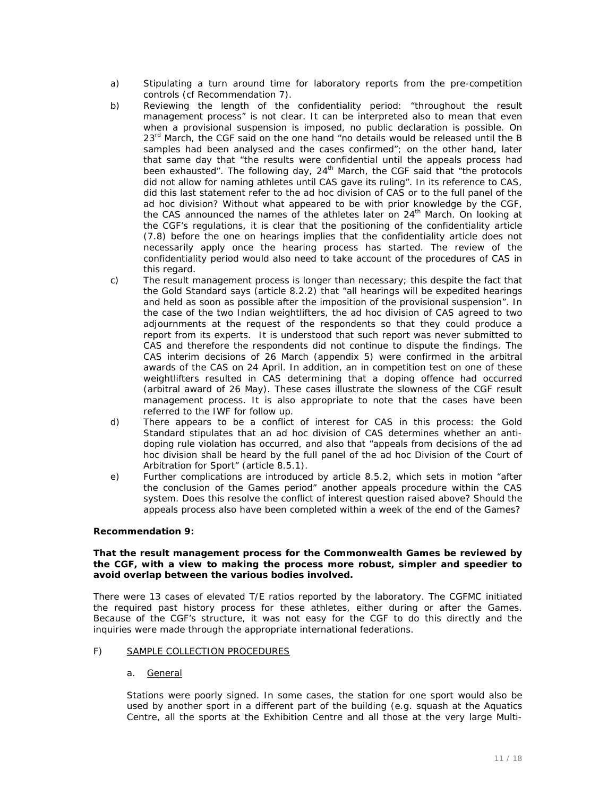- a) Stipulating a turn around time for laboratory reports from the pre-competition controls (cf Recommendation 7).
- b) Reviewing the length of the confidentiality period: "throughout the result management process" is not clear. It can be interpreted also to mean that even when a provisional suspension is imposed, no public declaration is possible. On  $23<sup>rd</sup>$  March, the CGF said on the one hand "no details would be released until the B samples had been analysed and the cases confirmed"; on the other hand, later that same day that "the results were confidential until the appeals process had been exhausted". The following day,  $24<sup>th</sup>$  March, the CGF said that "the protocols did not allow for naming athletes until CAS gave its ruling". In its reference to CAS, did this last statement refer to the ad hoc division of CAS or to the full panel of the ad hoc division? Without what appeared to be with prior knowledge by the CGF, the CAS announced the names of the athletes later on 24<sup>th</sup> March. On looking at the CGF's regulations, it is clear that the positioning of the confidentiality article (7.8) before the one on hearings implies that the confidentiality article does not necessarily apply once the hearing process has started. The review of the confidentiality period would also need to take account of the procedures of CAS in this regard.
- c) The result management process is longer than necessary; this despite the fact that the Gold Standard says (article 8.2.2) that "all hearings will be expedited hearings and held as soon as possible after the imposition of the provisional suspension". In the case of the two Indian weightlifters, the ad hoc division of CAS agreed to two adjournments at the request of the respondents so that they could produce a report from its experts. It is understood that such report was never submitted to CAS and therefore the respondents did not continue to dispute the findings. The CAS interim decisions of 26 March (appendix 5) were confirmed in the arbitral awards of the CAS on 24 April. In addition, an in competition test on one of these weightlifters resulted in CAS determining that a doping offence had occurred (arbitral award of 26 May). These cases illustrate the slowness of the CGF result management process. It is also appropriate to note that the cases have been referred to the IWF for follow up.
- d) There appears to be a conflict of interest for CAS in this process: the Gold Standard stipulates that an ad hoc division of CAS determines whether an antidoping rule violation has occurred, and also that "appeals from decisions of the ad hoc division shall be heard by the full panel of the ad hoc Division of the Court of Arbitration for Sport" (article 8.5.1).
- e) Further complications are introduced by article 8.5.2, which sets in motion "after the conclusion of the Games period" another appeals procedure within the CAS system. Does this resolve the conflict of interest question raised above? Should the appeals process also have been completed within a week of the end of the Games?

#### *Recommendation 9:*

#### *That the result management process for the Commonwealth Games be reviewed by the CGF, with a view to making the process more robust, simpler and speedier to avoid overlap between the various bodies involved.*

There were 13 cases of elevated T/E ratios reported by the laboratory. The CGFMC initiated the required past history process for these athletes, either during or after the Games. Because of the CGF's structure, it was not easy for the CGF to do this directly and the inquiries were made through the appropriate international federations.

#### F) SAMPLE COLLECTION PROCEDURES

#### a. General

Stations were poorly signed. In some cases, the station for one sport would also be used by another sport in a different part of the building (e.g. squash at the Aquatics Centre, all the sports at the Exhibition Centre and all those at the very large Multi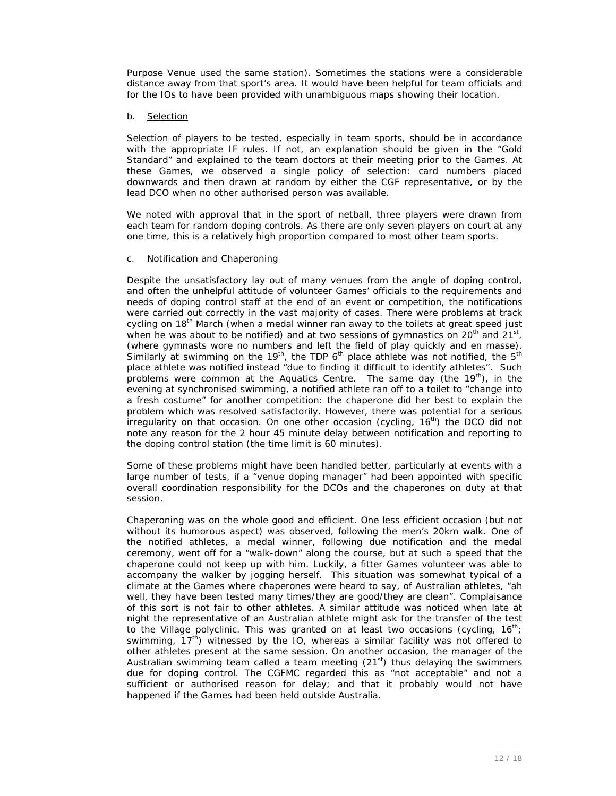Purpose Venue used the same station). Sometimes the stations were a considerable distance away from that sport's area. It would have been helpful for team officials and for the IOs to have been provided with unambiguous maps showing their location.

#### b. Selection

Selection of players to be tested, especially in team sports, should be in accordance with the appropriate IF rules. If not, an explanation should be given in the "Gold Standard" and explained to the team doctors at their meeting prior to the Games. At these Games, we observed a single policy of selection: card numbers placed downwards and then drawn at random by either the CGF representative, or by the lead DCO when no other authorised person was available.

We noted with approval that in the sport of netball, three players were drawn from each team for random doping controls. As there are only seven players on court at any one time, this is a relatively high proportion compared to most other team sports.

#### c. Notification and Chaperoning

Despite the unsatisfactory lay out of many venues from the angle of doping control, and often the unhelpful attitude of volunteer Games' officials to the requirements and needs of doping control staff at the end of an event or competition, the notifications were carried out correctly in the vast majority of cases. There were problems at track cycling on 18<sup>th</sup> March (when a medal winner ran away to the toilets at great speed just when he was about to be notified) and at two sessions of gymnastics on  $20^{th}$  and  $21^{st}$ , (where gymnasts wore no numbers and left the field of play quickly and en masse). Similarly at swimming on the 19<sup>th</sup>, the TDP  $6<sup>th</sup>$  place athlete was not notified, the  $5<sup>th</sup>$ place athlete was notified instead "due to finding it difficult to identify athletes". Such problems were common at the Aquatics Centre. The same day (the  $19<sup>th</sup>$ ), in the evening at synchronised swimming, a notified athlete ran off to a toilet to "change into a fresh costume" for another competition: the chaperone did her best to explain the problem which was resolved satisfactorily. However, there was potential for a serious irregularity on that occasion. On one other occasion (cycling,  $16<sup>th</sup>$ ) the DCO did not note any reason for the 2 hour 45 minute delay between notification and reporting to the doping control station (the time limit is 60 minutes).

Some of these problems might have been handled better, particularly at events with a large number of tests, if a "venue doping manager" had been appointed with specific overall coordination responsibility for the DCOs and the chaperones on duty at that session.

Chaperoning was on the whole good and efficient. One less efficient occasion (but not without its humorous aspect) was observed, following the men's 20km walk. One of the notified athletes, a medal winner, following due notification and the medal ceremony, went off for a "walk-down" along the course, but at such a speed that the chaperone could not keep up with him. Luckily, a fitter Games volunteer was able to accompany the walker by jogging herself. This situation was somewhat typical of a climate at the Games where chaperones were heard to say, of Australian athletes, "ah well, they have been tested many times/they are good/they are clean". Complaisance of this sort is not fair to other athletes. A similar attitude was noticed when late at night the representative of an Australian athlete might ask for the transfer of the test to the Village polyclinic. This was granted on at least two occasions (cycling,  $16^{th}$ ; swimming,  $17<sup>th</sup>$ ) witnessed by the IO, whereas a similar facility was not offered to other athletes present at the same session. On another occasion, the manager of the Australian swimming team called a team meeting  $(21<sup>st</sup>)$  thus delaying the swimmers due for doping control. The CGFMC regarded this as "not acceptable" and not a sufficient or authorised reason for delay; and that it probably would not have happened if the Games had been held outside Australia.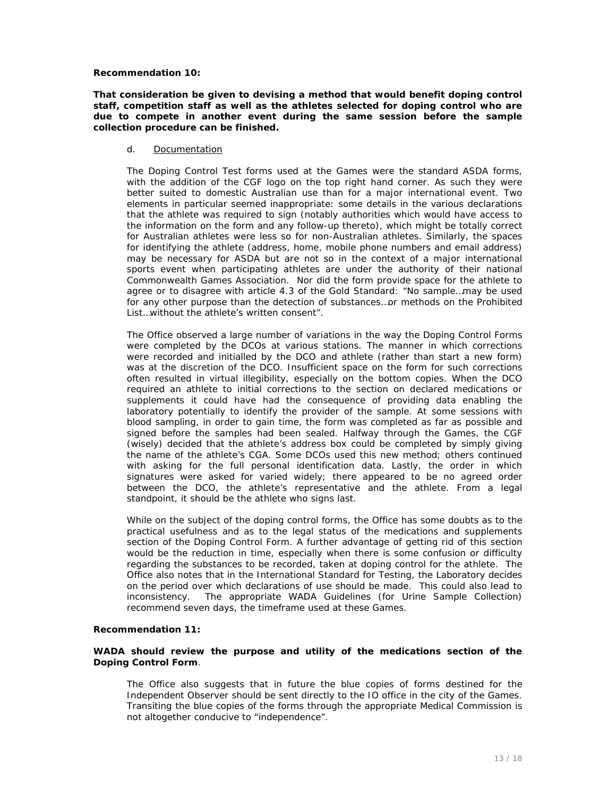#### *Recommendation 10:*

#### *That consideration be given to devising a method that would benefit doping control staff, competition staff as well as the athletes selected for doping control who are due to compete in another event during the same session before the sample collection procedure can be finished.*

#### d. Documentation

The Doping Control Test forms used at the Games were the standard ASDA forms, with the addition of the CGF logo on the top right hand corner. As such they were better suited to domestic Australian use than for a major international event. Two elements in particular seemed inappropriate: some details in the various declarations that the athlete was required to sign (notably authorities which would have access to the information on the form and any follow-up thereto), which might be totally correct for Australian athletes were less so for non-Australian athletes. Similarly, the spaces for identifying the athlete (address, home, mobile phone numbers and email address) may be necessary for ASDA but are not so in the context of a major international sports event when participating athletes are under the authority of their national Commonwealth Games Association. Nor did the form provide space for the athlete to agree or to disagree with article 4.3 of the Gold Standard: "No sample…may be used for any other purpose than the detection of substances…or methods on the Prohibited List…without the athlete's written consent".

The Office observed a large number of variations in the way the Doping Control Forms were completed by the DCOs at various stations. The manner in which corrections were recorded and initialled by the DCO and athlete (rather than start a new form) was at the discretion of the DCO. Insufficient space on the form for such corrections often resulted in virtual illegibility, especially on the bottom copies. When the DCO required an athlete to initial corrections to the section on declared medications or supplements it could have had the consequence of providing data enabling the laboratory potentially to identify the provider of the sample. At some sessions with blood sampling, in order to gain time, the form was completed as far as possible and signed before the samples had been sealed. Halfway through the Games, the CGF (wisely) decided that the athlete's address box could be completed by simply giving the name of the athlete's CGA. Some DCOs used this new method; others continued with asking for the full personal identification data. Lastly, the order in which signatures were asked for varied widely; there appeared to be no agreed order between the DCO, the athlete's representative and the athlete. From a legal standpoint, it should be the athlete who signs last.

While on the subject of the doping control forms, the Office has some doubts as to the practical usefulness and as to the legal status of the medications and supplements section of the Doping Control Form. A further advantage of getting rid of this section would be the reduction in time, especially when there is some confusion or difficulty regarding the substances to be recorded, taken at doping control for the athlete. The Office also notes that in the International Standard for Testing, the Laboratory decides on the period over which declarations of use should be made. This could also lead to inconsistency. The appropriate WADA Guidelines (for Urine Sample Collection) recommend seven days, the timeframe used at these Games.

#### *Recommendation 11:*

#### *WADA should review the purpose and utility of the medications section of the Doping Control Form.*

The Office also suggests that in future the blue copies of forms destined for the Independent Observer should be sent directly to the IO office in the city of the Games. Transiting the blue copies of the forms through the appropriate Medical Commission is not altogether conducive to "independence".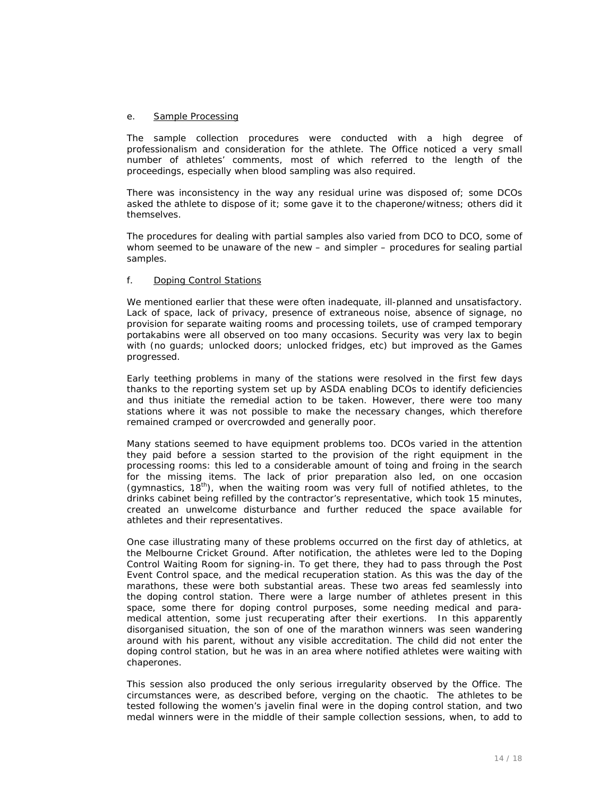#### e. Sample Processing

The sample collection procedures were conducted with a high degree of professionalism and consideration for the athlete. The Office noticed a very small number of athletes' comments, most of which referred to the length of the proceedings, especially when blood sampling was also required.

There was inconsistency in the way any residual urine was disposed of; some DCOs asked the athlete to dispose of it; some gave it to the chaperone/witness; others did it themselves.

The procedures for dealing with partial samples also varied from DCO to DCO, some of whom seemed to be unaware of the new – and simpler – procedures for sealing partial samples.

#### f. Doping Control Stations

We mentioned earlier that these were often inadequate, ill-planned and unsatisfactory. Lack of space, lack of privacy, presence of extraneous noise, absence of signage, no provision for separate waiting rooms and processing toilets, use of cramped temporary portakabins were all observed on too many occasions. Security was very lax to begin with (no guards; unlocked doors; unlocked fridges, etc) but improved as the Games progressed.

Early teething problems in many of the stations were resolved in the first few days thanks to the reporting system set up by ASDA enabling DCOs to identify deficiencies and thus initiate the remedial action to be taken. However, there were too many stations where it was not possible to make the necessary changes, which therefore remained cramped or overcrowded and generally poor.

Many stations seemed to have equipment problems too. DCOs varied in the attention they paid before a session started to the provision of the right equipment in the processing rooms: this led to a considerable amount of toing and froing in the search for the missing items. The lack of prior preparation also led, on one occasion (gymnastics,  $18^{th}$ ), when the waiting room was very full of notified athletes, to the drinks cabinet being refilled by the contractor's representative, which took 15 minutes, created an unwelcome disturbance and further reduced the space available for athletes and their representatives.

One case illustrating many of these problems occurred on the first day of athletics, at the Melbourne Cricket Ground. After notification, the athletes were led to the Doping Control Waiting Room for signing-in. To get there, they had to pass through the Post Event Control space, and the medical recuperation station. As this was the day of the marathons, these were both substantial areas. These two areas fed seamlessly into the doping control station. There were a large number of athletes present in this space, some there for doping control purposes, some needing medical and paramedical attention, some just recuperating after their exertions. In this apparently disorganised situation, the son of one of the marathon winners was seen wandering around with his parent, without any visible accreditation. The child did not enter the doping control station, but he was in an area where notified athletes were waiting with chaperones.

This session also produced the only serious irregularity observed by the Office. The circumstances were, as described before, verging on the chaotic. The athletes to be tested following the women's javelin final were in the doping control station, and two medal winners were in the middle of their sample collection sessions, when, to add to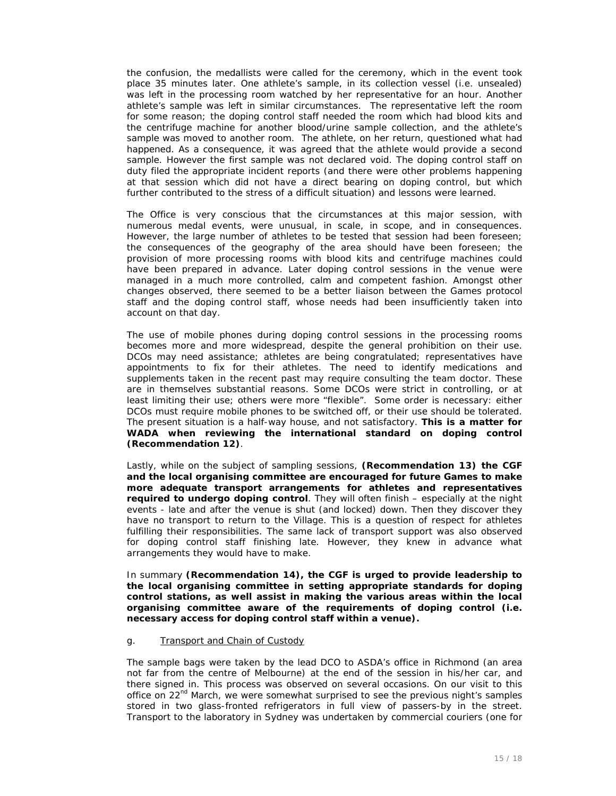the confusion, the medallists were called for the ceremony, which in the event took place 35 minutes later. One athlete's sample, in its collection vessel (i.e. unsealed) was left in the processing room watched by her representative for an hour. Another athlete's sample was left in similar circumstances. The representative left the room for some reason; the doping control staff needed the room which had blood kits and the centrifuge machine for another blood/urine sample collection, and the athlete's sample was moved to another room. The athlete, on her return, questioned what had happened. As a consequence, it was agreed that the athlete would provide a second sample. However the first sample was not declared void. The doping control staff on duty filed the appropriate incident reports (and there were other problems happening at that session which did not have a direct bearing on doping control, but which further contributed to the stress of a difficult situation) and lessons were learned.

The Office is very conscious that the circumstances at this major session, with numerous medal events, were unusual, in scale, in scope, and in consequences. However, the large number of athletes to be tested that session had been foreseen; the consequences of the geography of the area should have been foreseen; the provision of more processing rooms with blood kits and centrifuge machines could have been prepared in advance. Later doping control sessions in the venue were managed in a much more controlled, calm and competent fashion. Amongst other changes observed, there seemed to be a better liaison between the Games protocol staff and the doping control staff, whose needs had been insufficiently taken into account on that day.

The use of mobile phones during doping control sessions in the processing rooms becomes more and more widespread, despite the general prohibition on their use. DCOs may need assistance; athletes are being congratulated; representatives have appointments to fix for their athletes. The need to identify medications and supplements taken in the recent past may require consulting the team doctor. These are in themselves substantial reasons. Some DCOs were strict in controlling, or at least limiting their use; others were more "flexible". Some order is necessary: either DCOs must require mobile phones to be switched off, or their use should be tolerated. The present situation is a half-way house, and not satisfactory. *This is a matter for WADA when reviewing the international standard on doping control (Recommendation 12).* 

Lastly, while on the subject of sampling sessions, *(Recommendation 13) the CGF and the local organising committee are encouraged for future Games to make more adequate transport arrangements for athletes and representatives required to undergo doping control*. They will often finish – especially at the night events - late and after the venue is shut (and locked) down. Then they discover they have no transport to return to the Village. This is a question of respect for athletes fulfilling their responsibilities. The same lack of transport support was also observed for doping control staff finishing late. However, they knew in advance what arrangements they would have to make.

In summary *(Recommendation 14), the CGF is urged to provide leadership to the local organising committee in setting appropriate standards for doping control stations, as well assist in making the various areas within the local organising committee aware of the requirements of doping control (i.e. necessary access for doping control staff within a venue).* 

#### g. Transport and Chain of Custody

The sample bags were taken by the lead DCO to ASDA's office in Richmond (an area not far from the centre of Melbourne) at the end of the session in his/her car, and there signed in. This process was observed on several occasions. On our visit to this office on  $22<sup>nd</sup>$  March, we were somewhat surprised to see the previous night's samples stored in two glass-fronted refrigerators in full view of passers-by in the street. Transport to the laboratory in Sydney was undertaken by commercial couriers (one for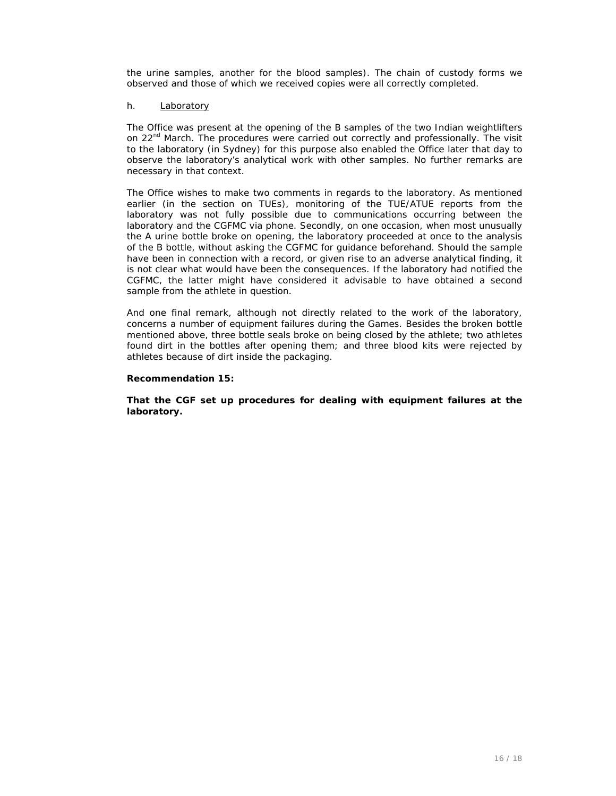the urine samples, another for the blood samples). The chain of custody forms we observed and those of which we received copies were all correctly completed.

#### h. Laboratory

The Office was present at the opening of the B samples of the two Indian weightlifters on 22<sup>nd</sup> March. The procedures were carried out correctly and professionally. The visit to the laboratory (in Sydney) for this purpose also enabled the Office later that day to observe the laboratory's analytical work with other samples. No further remarks are necessary in that context.

The Office wishes to make two comments in regards to the laboratory. As mentioned earlier (in the section on TUEs), monitoring of the TUE/ATUE reports from the laboratory was not fully possible due to communications occurring between the laboratory and the CGFMC via phone. Secondly, on one occasion, when most unusually the A urine bottle broke on opening, the laboratory proceeded at once to the analysis of the B bottle, without asking the CGFMC for guidance beforehand. Should the sample have been in connection with a record, or given rise to an adverse analytical finding, it is not clear what would have been the consequences. If the laboratory had notified the CGFMC, the latter might have considered it advisable to have obtained a second sample from the athlete in question.

And one final remark, although not directly related to the work of the laboratory, concerns a number of equipment failures during the Games. Besides the broken bottle mentioned above, three bottle seals broke on being closed by the athlete; two athletes found dirt in the bottles after opening them; and three blood kits were rejected by athletes because of dirt inside the packaging.

#### *Recommendation 15:*

*That the CGF set up procedures for dealing with equipment failures at the laboratory.*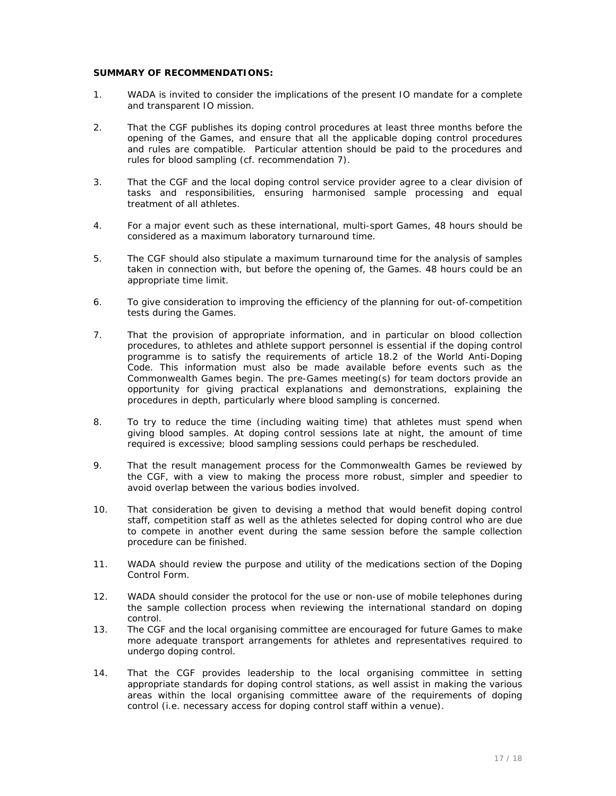#### **SUMMARY OF RECOMMENDATIONS:**

- 1. WADA is invited to consider the implications of the present IO mandate for a complete and transparent IO mission.
- 2. That the CGF publishes its doping control procedures at least three months before the opening of the Games, and ensure that all the applicable doping control procedures and rules are compatible. Particular attention should be paid to the procedures and rules for blood sampling (cf. recommendation 7).
- 3. That the CGF and the local doping control service provider agree to a clear division of tasks and responsibilities, ensuring harmonised sample processing and equal treatment of all athletes.
- 4. For a major event such as these international, multi-sport Games, 48 hours should be considered as a maximum laboratory turnaround time.
- 5. The CGF should also stipulate a maximum turnaround time for the analysis of samples taken in connection with, but before the opening of, the Games. 48 hours could be an appropriate time limit.
- 6. To give consideration to improving the efficiency of the planning for out-of-competition tests during the Games.
- 7. That the provision of appropriate information, and in particular on blood collection procedures, to athletes and athlete support personnel is essential if the doping control programme is to satisfy the requirements of article 18.2 of the World Anti-Doping Code. This information must also be made available before events such as the Commonwealth Games begin. The pre-Games meeting(s) for team doctors provide an opportunity for giving practical explanations and demonstrations, explaining the procedures in depth, particularly where blood sampling is concerned.
- 8. To try to reduce the time (including waiting time) that athletes must spend when giving blood samples. At doping control sessions late at night, the amount of time required is excessive; blood sampling sessions could perhaps be rescheduled.
- 9. That the result management process for the Commonwealth Games be reviewed by the CGF, with a view to making the process more robust, simpler and speedier to avoid overlap between the various bodies involved.
- 10. That consideration be given to devising a method that would benefit doping control staff, competition staff as well as the athletes selected for doping control who are due to compete in another event during the same session before the sample collection procedure can be finished.
- 11. WADA should review the purpose and utility of the medications section of the Doping Control Form.
- 12. WADA should consider the protocol for the use or non-use of mobile telephones during the sample collection process when reviewing the international standard on doping control.
- 13. The CGF and the local organising committee are encouraged for future Games to make more adequate transport arrangements for athletes and representatives required to undergo doping control.
- 14. That the CGF provides leadership to the local organising committee in setting appropriate standards for doping control stations, as well assist in making the various areas within the local organising committee aware of the requirements of doping control (i.e. necessary access for doping control staff within a venue).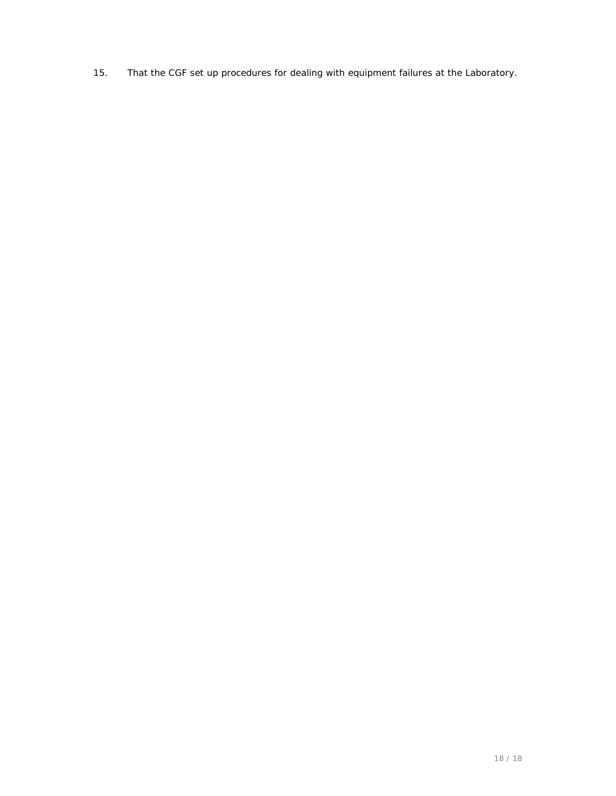15. That the CGF set up procedures for dealing with equipment failures at the Laboratory.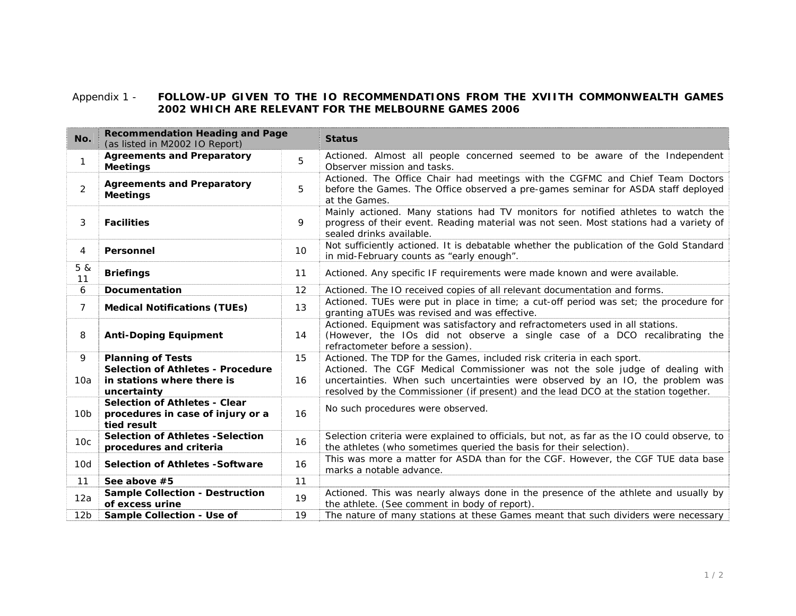## Appendix 1 - **FOLLOW-UP GIVEN TO THE IO RECOMMENDATIONS FROM THE XVIITH COMMONWEALTH GAMES 2002 WHICH ARE RELEVANT FOR THE MELBOURNE GAMES 2006**

| No.             | <b>Recommendation Heading and Page</b><br>(as listed in M2002 IO Report)                 |    | <b>Status</b>                                                                                                                                                                                                                                          |  |  |  |  |  |  |
|-----------------|------------------------------------------------------------------------------------------|----|--------------------------------------------------------------------------------------------------------------------------------------------------------------------------------------------------------------------------------------------------------|--|--|--|--|--|--|
| $\mathbf{1}$    | <b>Agreements and Preparatory</b><br><b>Meetings</b>                                     | 5  | Actioned. Almost all people concerned seemed to be aware of the Independent<br>Observer mission and tasks.                                                                                                                                             |  |  |  |  |  |  |
| $\overline{2}$  | <b>Agreements and Preparatory</b><br><b>Meetings</b>                                     | 5  | Actioned. The Office Chair had meetings with the CGFMC and Chief Team Doctors<br>before the Games. The Office observed a pre-games seminar for ASDA staff deployed<br>at the Games.                                                                    |  |  |  |  |  |  |
| 3               | <b>Facilities</b>                                                                        | 9  | Mainly actioned. Many stations had TV monitors for notified athletes to watch the<br>progress of their event. Reading material was not seen. Most stations had a variety of<br>sealed drinks available.                                                |  |  |  |  |  |  |
| 4               | Personnel                                                                                | 10 | Not sufficiently actioned. It is debatable whether the publication of the Gold Standard<br>in mid-February counts as "early enough".                                                                                                                   |  |  |  |  |  |  |
| 5 &<br>11       | <b>Briefings</b>                                                                         | 11 | Actioned. Any specific IF requirements were made known and were available.                                                                                                                                                                             |  |  |  |  |  |  |
| 6               | <b>Documentation</b>                                                                     | 12 | Actioned. The IO received copies of all relevant documentation and forms.                                                                                                                                                                              |  |  |  |  |  |  |
| $\overline{7}$  | <b>Medical Notifications (TUEs)</b>                                                      | 13 | Actioned. TUEs were put in place in time; a cut-off period was set; the procedure for<br>granting aTUEs was revised and was effective.                                                                                                                 |  |  |  |  |  |  |
| 8               | <b>Anti-Doping Equipment</b>                                                             | 14 | Actioned. Equipment was satisfactory and refractometers used in all stations.<br>(However, the IOs did not observe a single case of a DCO recalibrating the<br>refractometer before a session).                                                        |  |  |  |  |  |  |
| 9               | <b>Planning of Tests</b>                                                                 | 15 | Actioned. The TDP for the Games, included risk criteria in each sport.                                                                                                                                                                                 |  |  |  |  |  |  |
| 10a             | <b>Selection of Athletes - Procedure</b><br>in stations where there is<br>uncertainty    | 16 | Actioned. The CGF Medical Commissioner was not the sole judge of dealing with<br>uncertainties. When such uncertainties were observed by an IO, the problem was<br>resolved by the Commissioner (if present) and the lead DCO at the station together. |  |  |  |  |  |  |
| 10 <sub>b</sub> | <b>Selection of Athletes - Clear</b><br>procedures in case of injury or a<br>tied result | 16 | No such procedures were observed.                                                                                                                                                                                                                      |  |  |  |  |  |  |
| 10 <sub>c</sub> | <b>Selection of Athletes -Selection</b><br>procedures and criteria                       | 16 | Selection criteria were explained to officials, but not, as far as the IO could observe, to<br>the athletes (who sometimes queried the basis for their selection).                                                                                     |  |  |  |  |  |  |
| 10d             | <b>Selection of Athletes -Software</b><br>16                                             |    | This was more a matter for ASDA than for the CGF. However, the CGF TUE data base<br>marks a notable advance.                                                                                                                                           |  |  |  |  |  |  |
| 11              | See above #5                                                                             | 11 |                                                                                                                                                                                                                                                        |  |  |  |  |  |  |
| 12a             | <b>Sample Collection - Destruction</b><br>of excess urine                                | 19 | Actioned. This was nearly always done in the presence of the athlete and usually by<br>the athlete. (See comment in body of report).                                                                                                                   |  |  |  |  |  |  |
| 12 <sub>b</sub> | Sample Collection - Use of                                                               | 19 | The nature of many stations at these Games meant that such dividers were necessary                                                                                                                                                                     |  |  |  |  |  |  |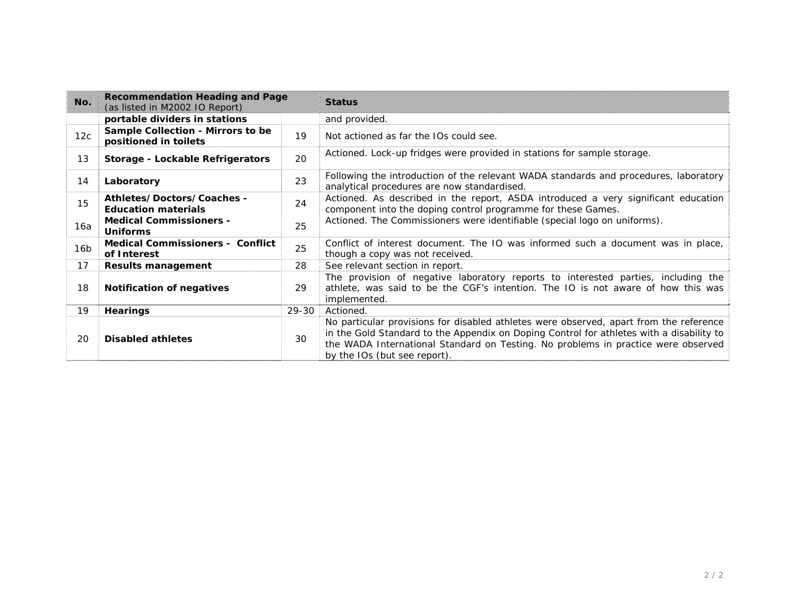| No.             | <b>Recommendation Heading and Page</b><br>(as listed in M2002 IO Report) |       | <b>Status</b>                                                                                                                                                                                                                                                                                           |
|-----------------|--------------------------------------------------------------------------|-------|---------------------------------------------------------------------------------------------------------------------------------------------------------------------------------------------------------------------------------------------------------------------------------------------------------|
|                 | portable dividers in stations                                            |       | and provided.                                                                                                                                                                                                                                                                                           |
| 12c             | Sample Collection - Mirrors to be<br>positioned in toilets               | 19    | Not actioned as far the IOs could see.                                                                                                                                                                                                                                                                  |
| 13              | Storage - Lockable Refrigerators                                         | 20    | Actioned. Lock-up fridges were provided in stations for sample storage.                                                                                                                                                                                                                                 |
| 14              | Laboratory                                                               | 23    | Following the introduction of the relevant WADA standards and procedures, laboratory<br>analytical procedures are now standardised.                                                                                                                                                                     |
| 15              | Athletes/Doctors/Coaches -<br><b>Education materials</b>                 | 24    | Actioned. As described in the report, ASDA introduced a very significant education<br>component into the doping control programme for these Games.                                                                                                                                                      |
| 16а             | <b>Medical Commissioners -</b><br><b>Uniforms</b>                        | 25    | Actioned. The Commissioners were identifiable (special logo on uniforms).                                                                                                                                                                                                                               |
| 16 <sub>b</sub> | <b>Medical Commissioners - Conflict</b><br>of Interest                   | 25    | Conflict of interest document. The IO was informed such a document was in place,<br>though a copy was not received.                                                                                                                                                                                     |
| 17              | <b>Results management</b>                                                | 28    | See relevant section in report.                                                                                                                                                                                                                                                                         |
| 18              | <b>Notification of negatives</b>                                         | 29    | The provision of negative laboratory reports to interested parties, including the<br>athlete, was said to be the CGF's intention. The IO is not aware of how this was<br>implemented.                                                                                                                   |
| 19              | <b>Hearings</b>                                                          | 29-30 | Actioned.                                                                                                                                                                                                                                                                                               |
| 20              | <b>Disabled athletes</b>                                                 | 30    | No particular provisions for disabled athletes were observed, apart from the reference<br>in the Gold Standard to the Appendix on Doping Control for athletes with a disability to<br>the WADA International Standard on Testing. No problems in practice were observed<br>by the IOs (but see report). |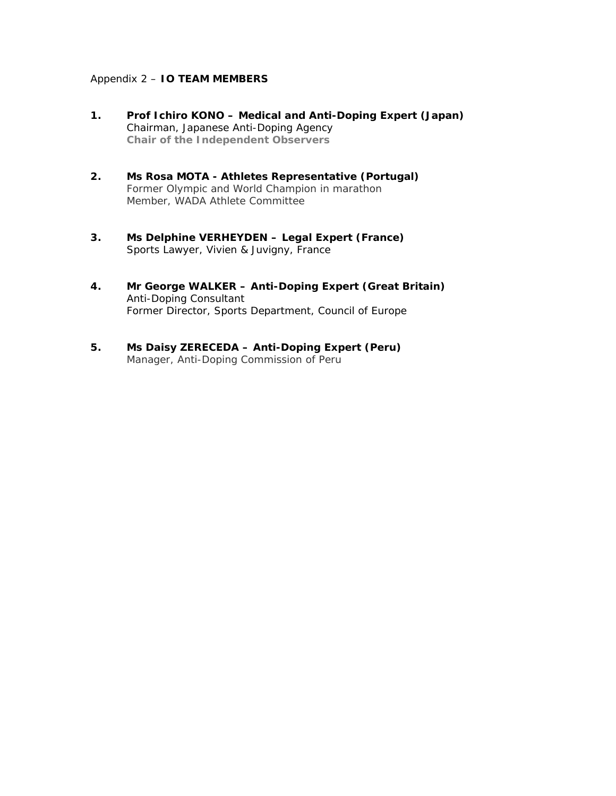## Appendix 2 – **IO TEAM MEMBERS**

- **1. Prof Ichiro KONO Medical and Anti-Doping Expert (Japan)**  Chairman, Japanese Anti-Doping Agency  *Chair of the Independent Observers*
- **2. Ms Rosa MOTA Athletes Representative (Portugal)**  Former Olympic and World Champion in marathon Member, WADA Athlete Committee
- **3. Ms Delphine VERHEYDEN Legal Expert (France)**  Sports Lawyer, Vivien & Juvigny, France
- **4. Mr George WALKER Anti-Doping Expert (Great Britain)**  Anti-Doping Consultant Former Director, Sports Department, Council of Europe
- **5. Ms Daisy ZERECEDA Anti-Doping Expert (Peru)**  Manager, Anti-Doping Commission of Peru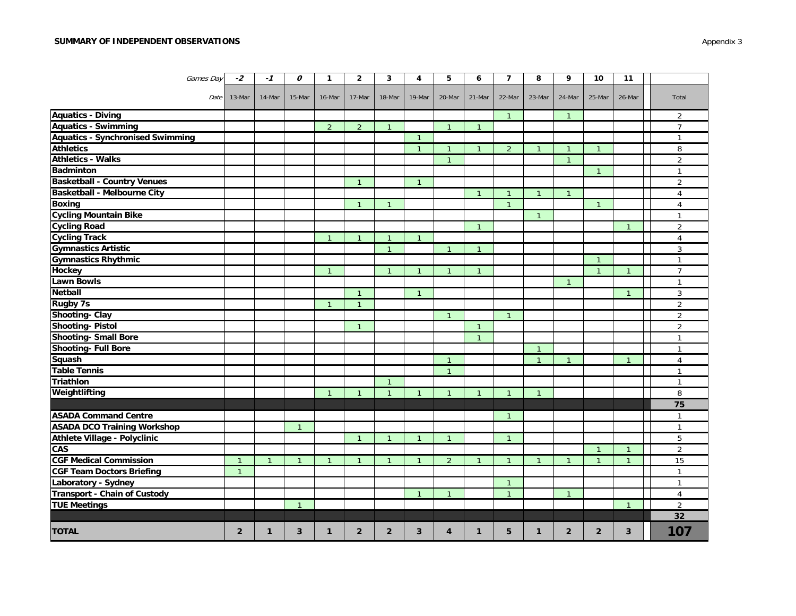#### **SUMMARY OF INDEPENDENT OBSERVATIONS**

| Games Day                               | $-2$           | $-1$         | 0              | $\mathbf{1}$   | $\overline{2}$ | 3              | 4              | 5              | 6              | $\overline{7}$ | 8              | 9            | 10             | 11             |                |
|-----------------------------------------|----------------|--------------|----------------|----------------|----------------|----------------|----------------|----------------|----------------|----------------|----------------|--------------|----------------|----------------|----------------|
| Date                                    | 13-Mar         | 14-Mar       | 15-Mar         | 16-Mar         | 17-Mar         | 18-Mar         | 19-Mar         | 20-Mar         | 21-Mar         | 22-Mar         | 23-Mar         | 24-Mar       | 25-Mar         | 26-Mar         | Total          |
| <b>Aquatics - Diving</b>                |                |              |                |                |                |                |                |                |                | $\mathbf{1}$   |                | -1           |                |                | 2              |
| <b>Aquatics - Swimming</b>              |                |              |                | $\overline{2}$ | 2              | $\mathbf{1}$   |                | $\mathbf{1}$   | $\mathbf{1}$   |                |                |              |                |                | $\overline{7}$ |
| <b>Aquatics - Synchronised Swimming</b> |                |              |                |                |                |                | $\mathbf{1}$   |                |                |                |                |              |                |                | $\mathbf{1}$   |
| <b>Athletics</b>                        |                |              |                |                |                |                | $\mathbf{1}$   | $\overline{1}$ | $\mathbf{1}$   | $\overline{2}$ | $\mathbf{1}$   | $\mathbf{1}$ | $\mathbf{1}$   |                | 8              |
| <b>Athletics - Walks</b>                |                |              |                |                |                |                |                | $\mathbf{1}$   |                |                |                | $\mathbf{1}$ |                |                | $\overline{2}$ |
| <b>Badminton</b>                        |                |              |                |                |                |                |                |                |                |                |                |              | $\mathbf{1}$   |                | $\overline{1}$ |
| <b>Basketball - Country Venues</b>      |                |              |                |                | $\overline{1}$ |                | $\mathbf{1}$   |                |                |                |                |              |                |                | $\overline{2}$ |
| <b>Basketball - Melbourne City</b>      |                |              |                |                |                |                |                |                | $\overline{1}$ | $\mathbf{1}$   | -1             |              |                |                | 4              |
| <b>Boxing</b>                           |                |              |                |                | $\overline{1}$ | $\mathbf{1}$   |                |                |                | $\mathbf{1}$   |                |              | $\mathbf{1}$   |                | 4              |
| <b>Cycling Mountain Bike</b>            |                |              |                |                |                |                |                |                |                |                | -1             |              |                |                | $\mathbf{1}$   |
| <b>Cycling Road</b>                     |                |              |                |                |                |                |                |                | $\overline{1}$ |                |                |              |                | $\overline{1}$ | $\overline{2}$ |
| <b>Cycling Track</b>                    |                |              |                | $\mathbf{1}$   | $\overline{1}$ | $\mathbf{1}$   | $\mathbf{1}$   |                |                |                |                |              |                |                | $\overline{4}$ |
| <b>Gymnastics Artistic</b>              |                |              |                |                |                | $\mathbf{1}$   |                | $\mathbf{1}$   | $\overline{1}$ |                |                |              |                |                | 3              |
| <b>Gymnastics Rhythmic</b>              |                |              |                |                |                |                |                |                |                |                |                |              | $\mathbf{1}$   |                | $\mathbf{1}$   |
| Hockey                                  |                |              |                | $\mathbf{1}$   |                | $\mathbf{1}$   | $\mathbf{1}$   | $\mathbf{1}$   | $\overline{1}$ |                |                |              | $\mathbf{1}$   | $\mathbf{1}$   | $\overline{7}$ |
| Lawn Bowls                              |                |              |                |                |                |                |                |                |                |                |                | $\mathbf{1}$ |                |                | $\mathbf{1}$   |
| Netball                                 |                |              |                |                | $\mathbf{1}$   |                | $\mathbf{1}$   |                |                |                |                |              |                | $\mathbf{1}$   | 3              |
| <b>Rugby 7s</b>                         |                |              |                | $\mathbf{1}$   | $\overline{1}$ |                |                |                |                |                |                |              |                |                | $\overline{2}$ |
| <b>Shooting- Clay</b>                   |                |              |                |                |                |                |                | $\mathbf{1}$   |                | $\mathbf{1}$   |                |              |                |                | $\overline{2}$ |
| <b>Shooting-Pistol</b>                  |                |              |                |                | $\overline{1}$ |                |                |                | $\overline{1}$ |                |                |              |                |                | $\overline{2}$ |
| <b>Shooting- Small Bore</b>             |                |              |                |                |                |                |                |                | $\overline{1}$ |                |                |              |                |                | $\overline{1}$ |
| <b>Shooting- Full Bore</b>              |                |              |                |                |                |                |                |                |                |                | $\mathbf{1}$   |              |                |                | $\mathbf{1}$   |
| Squash                                  |                |              |                |                |                |                |                | $\mathbf{1}$   |                |                | $\overline{1}$ |              |                | -1             | $\overline{4}$ |
| <b>Table Tennis</b>                     |                |              |                |                |                |                |                | $\overline{1}$ |                |                |                |              |                |                | $\mathbf{1}$   |
| <b>Triathlon</b>                        |                |              |                |                |                | $\mathbf{1}$   |                |                |                |                |                |              |                |                | $\mathbf{1}$   |
| Weightlifting                           |                |              |                | $\mathbf{1}$   | $\overline{1}$ | $\mathbf{1}$   | $\mathbf{1}$   | $\overline{1}$ | $\overline{1}$ | $\mathbf{1}$   | $\mathbf{1}$   |              |                |                | 8              |
|                                         |                |              |                |                |                |                |                |                |                |                |                |              |                |                | 75             |
| <b>ASADA Command Centre</b>             |                |              |                |                |                |                |                |                |                | -1             |                |              |                |                | $\overline{1}$ |
| <b>ASADA DCO Training Workshop</b>      |                |              | $\overline{1}$ |                |                |                |                |                |                |                |                |              |                |                | $\mathbf{1}$   |
| Athlete Village - Polyclinic            |                |              |                |                | $\overline{1}$ | $\mathbf{1}$   | $\mathbf{1}$   | $\mathbf{1}$   |                | $\mathbf{1}$   |                |              |                |                | 5              |
| CAS                                     |                |              |                |                |                |                |                |                |                |                |                |              | $\mathbf{1}$   | $\overline{1}$ | $\overline{2}$ |
| <b>CGF Medical Commission</b>           | $\overline{1}$ | $\mathbf{1}$ | $\overline{1}$ | $\mathbf{1}$   | $\overline{1}$ | $\mathbf{1}$   | $\mathbf{1}$   | $\overline{2}$ | $\overline{1}$ | $\overline{1}$ | $\overline{1}$ |              | $\overline{1}$ | $\overline{1}$ | 15             |
| <b>CGF Team Doctors Briefing</b>        | $\overline{1}$ |              |                |                |                |                |                |                |                |                |                |              |                |                | $\overline{1}$ |
| Laboratory - Sydney                     |                |              |                |                |                |                |                |                |                | $\overline{1}$ |                |              |                |                | $\mathbf{1}$   |
| Transport - Chain of Custody            |                |              |                |                |                |                | $\overline{1}$ | $\mathbf{1}$   |                | $\mathbf{1}$   |                | $\mathbf{1}$ |                |                | $\overline{4}$ |
| <b>TUE Meetings</b>                     |                |              | $\mathbf{1}$   |                |                |                |                |                |                |                |                |              |                | $\overline{1}$ | $\overline{2}$ |
|                                         |                |              |                |                |                |                |                |                |                |                |                |              |                |                | 32             |
| <b>TOTAL</b>                            | $\overline{2}$ | $\mathbf{1}$ | 3              | $\mathbf{1}$   | $\overline{2}$ | $\overline{2}$ | 3              | 4              | 1              | 5              | 1              | $\mathbf{2}$ | $\overline{2}$ | 3              | 107            |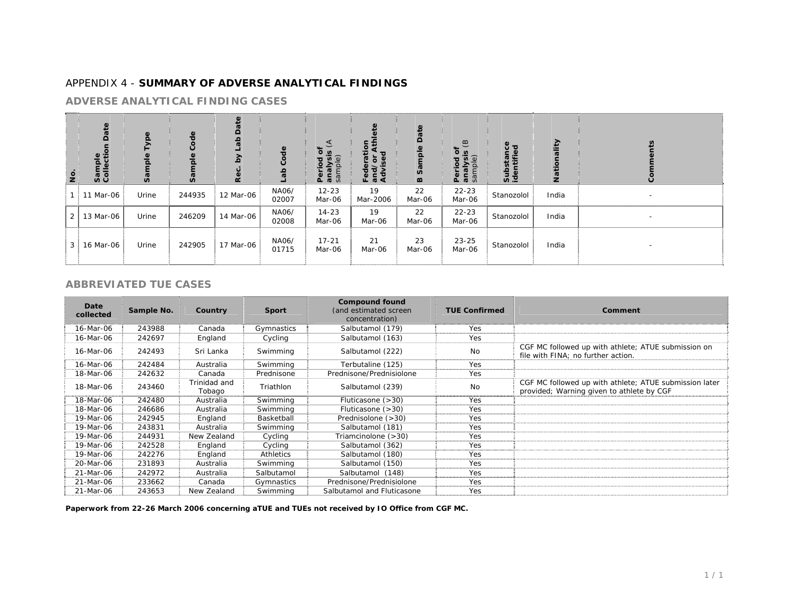# APPENDIX 4 - **SUMMARY OF ADVERSE ANALYTICAL FINDINGS**

#### **ADVERSE ANALYTICAL FINDING CASES**

| $\overline{5}$ | ate<br>$\Omega$<br>Sample<br>Collecti | S     | $\frac{e}{\sigma}$<br>Ő<br>ᅙ<br>ື້ ອີ | 6<br><b>Q</b> | 융<br>ab        | ō<br>$\omega$<br>Period<br>analysi<br>sample) | ಕ್ಷ<br>Fedel<br>and/<br>Advis | $\Omega$<br><b>v</b><br>$\boldsymbol{\omega}$ | $\overline{e}$<br>ō<br>$\overline{\mathbf{a}}$<br>Period<br>analysi<br>sample) | čΦ<br>$rac{1}{2}$ | Ξ<br>$\overline{a}$ |                          |
|----------------|---------------------------------------|-------|---------------------------------------|---------------|----------------|-----------------------------------------------|-------------------------------|-----------------------------------------------|--------------------------------------------------------------------------------|-------------------|---------------------|--------------------------|
|                | 11 Mar-06                             | Urine | 244935                                | 12 Mar-06     | NA06/<br>02007 | $12 - 23$<br>Mar-06                           | 19<br>Mar-2006                | 22<br>Mar-06                                  | $22 - 23$<br>Mar-06                                                            | Stanozolol        | India               |                          |
| 2              | 13 Mar-06                             | Urine | 246209                                | 14 Mar-06     | NA06/<br>02008 | $14 - 23$<br>Mar-06                           | 19<br>Mar-06                  | 22<br>Mar-06                                  | $22 - 23$<br>Mar-06                                                            | Stanozolol        | India               | $\overline{\phantom{0}}$ |
| 3 <sup>1</sup> | 16 Mar-06                             | Urine | 242905                                | 17 Mar-06     | NA06/<br>01715 | $17 - 21$<br>Mar-06                           | 21<br>Mar-06                  | 23<br>Mar-06                                  | $23 - 25$<br>Mar-06                                                            | Stanozolol        | India               | $\overline{\phantom{0}}$ |

## **ABBREVIATED TUE CASES**

| Date<br>collected | Sample No. | Country                | <b>Sport</b> | <b>Compound found</b><br>(and estimated screen<br>concentration) | <b>TUE Confirmed</b> | Comment                                                                                             |
|-------------------|------------|------------------------|--------------|------------------------------------------------------------------|----------------------|-----------------------------------------------------------------------------------------------------|
| 16-Mar-06         | 243988     | Canada                 | Gymnastics   | Salbutamol (179)                                                 | Yes                  |                                                                                                     |
| 16-Mar-06         | 242697     | England                | Cycling      | Salbutamol (163)                                                 | Yes                  |                                                                                                     |
| 16-Mar-06         | 242493     | Sri Lanka              | Swimming     | Salbutamol (222)                                                 | No                   | CGF MC followed up with athlete; ATUE submission on<br>file with FINA: no further action.           |
| 16-Mar-06         | 242484     | Australia              | Swimming     | Terbutaline (125)                                                | Yes                  |                                                                                                     |
| 18-Mar-06         | 242632     | Canada                 | Prednisone   | Prednisone/Prednisiolone                                         | Yes                  |                                                                                                     |
| 18-Mar-06         | 243460     | Trinidad and<br>Tobago | Triathlon    | Salbutamol (239)                                                 | <b>No</b>            | CGF MC followed up with athlete; ATUE submission later<br>provided; Warning given to athlete by CGF |
| 18-Mar-06         | 242480     | Australia              | Swimming     | Fluticasone $(>30)$                                              | Yes                  |                                                                                                     |
| 18-Mar-06         | 246686     | Australia              | Swimming     | Fluticasone $(>30)$                                              | Yes                  |                                                                                                     |
| 19-Mar-06         | 242945     | England                | Basketball   | Prednisolone (>30)                                               | Yes                  |                                                                                                     |
| 19-Mar-06         | 243831     | Australia              | Swimming     | Salbutamol (181)                                                 | Yes                  |                                                                                                     |
| 19-Mar-06         | 244931     | New Zealand            | Cycling      | Triamcinolone (>30)                                              | Yes                  |                                                                                                     |
| 19-Mar-06         | 242528     | England                | Cycling      | Salbutamol (362)                                                 | Yes                  |                                                                                                     |
| 19-Mar-06         | 242276     | England                | Athletics    | Salbutamol (180)                                                 | Yes                  |                                                                                                     |
| 20-Mar-06         | 231893     | Australia              | Swimming     | Salbutamol (150)                                                 | Yes                  |                                                                                                     |
| 21-Mar-06         | 242972     | Australia              | Salbutamol   | Salbutamol (148)                                                 | <b>Yes</b>           |                                                                                                     |
| 21-Mar-06         | 233662     | Canada                 | Gymnastics   | Prednisone/Prednisiolone                                         | Yes                  |                                                                                                     |
| 21-Mar-06         | 243653     | New Zealand            | Swimming     | Salbutamol and Fluticasone                                       | Yes                  |                                                                                                     |

*Paperwork from 22-26 March 2006 concerning aTUE and TUEs not received by IO Office from CGF MC.*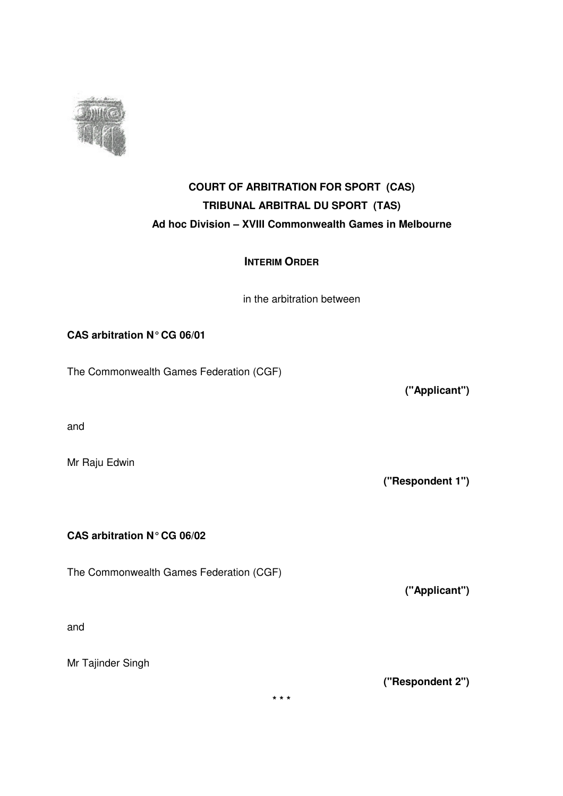

# **COURT OF ARBITRATION FOR SPORT (CAS) TRIBUNAL ARBITRAL DU SPORT (TAS) Ad hoc Division – XVIII Commonwealth Games in Melbourne**

# **INTERIM ORDER**

in the arbitration between

# **CAS arbitration N°CG 06/01**

The Commonwealth Games Federation (CGF)

and

Mr Raju Edwin

**CAS arbitration N°CG 06/02**

The Commonwealth Games Federation (CGF)

and

Mr Tajinder Singh

**("Applicant")**

**("Respondent 1")**

**("Applicant")**

**("Respondent 2")**

**\* \* \***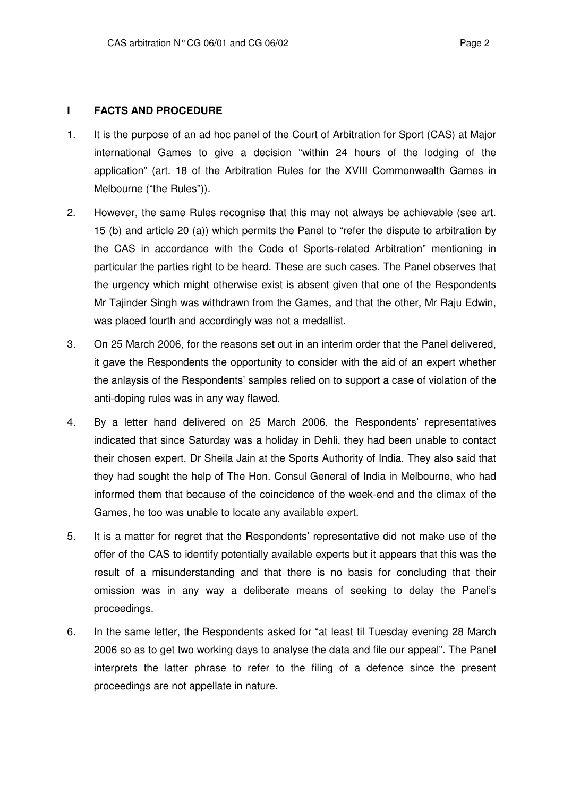# **I FACTS AND PROCEDURE**

- 1. It is the purpose of an ad hoc panel of the Court of Arbitration for Sport (CAS) at Major international Games to give a decision "within 24 hours of the lodging of the application" (art. 18 of the Arbitration Rules for the XVIII Commonwealth Games in Melbourne ("the Rules")).
- 2. However, the same Rules recognise that this may not always be achievable (see art. 15 (b) and article 20 (a)) which permits the Panel to "refer the dispute to arbitration by the CAS in accordance with the Code of Sports-related Arbitration" mentioning in particular the parties right to be heard. These are such cases. The Panel observes that the urgency which might otherwise exist is absent given that one of the Respondents Mr Tajinder Singh was withdrawn from the Games, and that the other, Mr Raju Edwin, was placed fourth and accordingly was not a medallist.
- 3. On 25 March 2006, for the reasons set out in an interim order that the Panel delivered, it gave the Respondents the opportunity to consider with the aid of an expert whether the anlaysis of the Respondents' samples relied on to support a case of violation of the anti-doping rules was in any way flawed.
- 4. By a letter hand delivered on 25 March 2006, the Respondents' representatives indicated that since Saturday was a holiday in Dehli, they had been unable to contact their chosen expert, Dr Sheila Jain at the Sports Authority of India. They also said that they had sought the help of The Hon. Consul General of India in Melbourne, who had informed them that because of the coincidence of the week-end and the climax of the Games, he too was unable to locate any available expert.
- 5. It is a matter for regret that the Respondents' representative did not make use of the offer of the CAS to identify potentially available experts but it appears that this was the result of a misunderstanding and that there is no basis for concluding that their omission was in any way a deliberate means of seeking to delay the Panel's proceedings.
- 6. In the same letter, the Respondents asked for "at least til Tuesday evening 28 March 2006 so as to get two working days to analyse the data and file our appeal". The Panel interprets the latter phrase to refer to the filing of a defence since the present proceedings are not appellate in nature.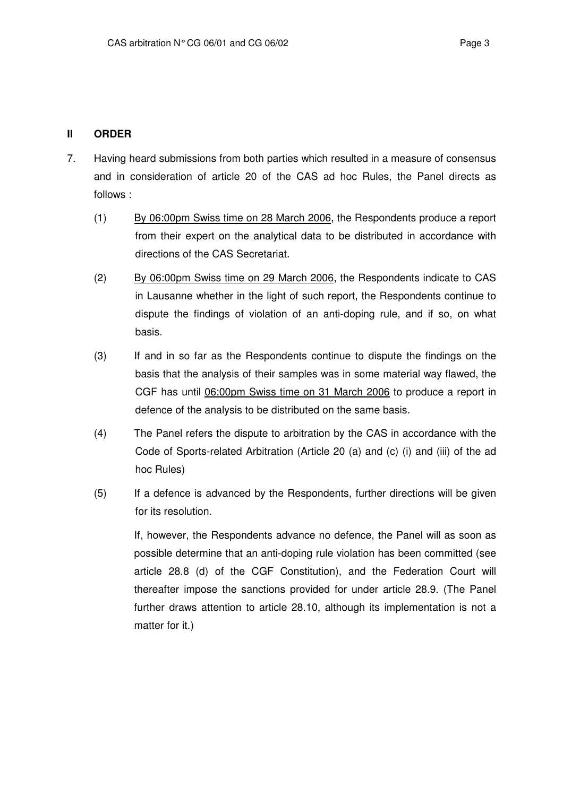# **II ORDER**

- 7. Having heard submissions from both parties which resulted in a measure of consensus and in consideration of article 20 of the CAS ad hoc Rules, the Panel directs as follows :
	- (1) By 06:00pm Swiss time on 28 March 2006, the Respondents produce a report from their expert on the analytical data to be distributed in accordance with directions of the CAS Secretariat.
	- (2) By 06:00pm Swiss time on 29 March 2006, the Respondents indicate to CAS in Lausanne whether in the light of such report, the Respondents continue to dispute the findings of violation of an anti-doping rule, and if so, on what basis.
	- (3) If and in so far as the Respondents continue to dispute the findings on the basis that the analysis of their samples was in some material way flawed, the CGF has until 06:00pm Swiss time on 31 March 2006 to produce a report in defence of the analysis to be distributed on the same basis.
	- (4) The Panel refers the dispute to arbitration by the CAS in accordance with the Code of Sports-related Arbitration (Article 20 (a) and (c) (i) and (iii) of the ad hoc Rules)
	- (5) If a defence is advanced by the Respondents, further directions will be given for its resolution.

If, however, the Respondents advance no defence, the Panel will as soon as possible determine that an anti-doping rule violation has been committed (see article 28.8 (d) of the CGF Constitution), and the Federation Court will thereafter impose the sanctions provided for under article 28.9. (The Panel further draws attention to article 28.10, although its implementation is not a matter for it.)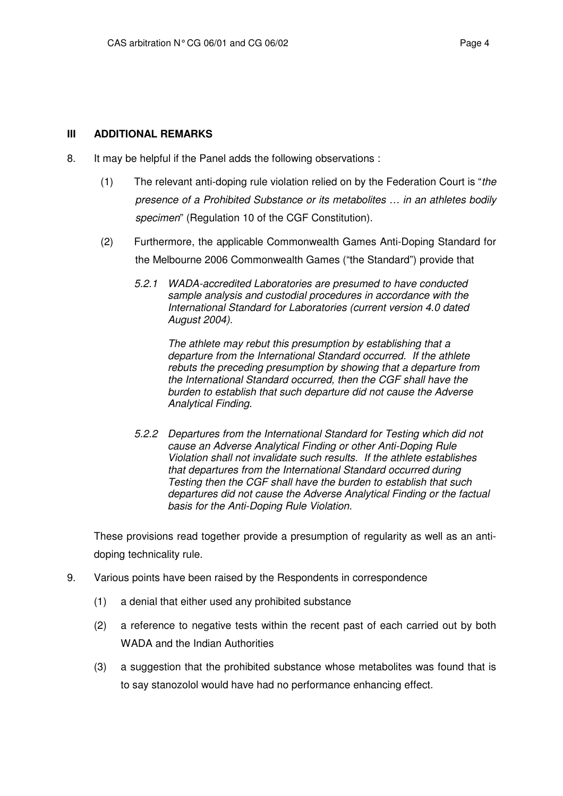# **III ADDITIONAL REMARKS**

- 8. It may be helpful if the Panel adds the following observations :
	- (1) The relevant anti-doping rule violation relied on by the Federation Court is "*the presence of a Prohibited Substance or its metabolites … in an athletes bodily specimen*" (Regulation 10 of the CGF Constitution).
	- (2) Furthermore, the applicable Commonwealth Games Anti-Doping Standard for the Melbourne 2006 Commonwealth Games ("the Standard") provide that
		- *5.2.1 WADA-accredited Laboratories are presumed to have conducted sample analysis and custodial procedures in accordance with the International Standard for Laboratories (current version 4.0 dated August 2004).*

*The athlete may rebut this presumption by establishing that a departure from the International Standard occurred. If the athlete rebuts the preceding presumption by showing that a departure from the International Standard occurred, then the CGF shall have the burden to establish that such departure did not cause the Adverse Analytical Finding.*

*5.2.2 Departures from the International Standard for Testing which did not cause an Adverse Analytical Finding or other Anti-Doping Rule Violation shall not invalidate such results. If the athlete establishes that departures from the International Standard occurred during Testing then the CGF shall have the burden to establish that such departures did not cause the Adverse Analytical Finding or the factual basis for the Anti-Doping Rule Violation.*

These provisions read together provide a presumption of regularity as well as an antidoping technicality rule.

- 9. Various points have been raised by the Respondents in correspondence
	- (1) a denial that either used any prohibited substance
	- (2) a reference to negative tests within the recent past of each carried out by both WADA and the Indian Authorities
	- (3) a suggestion that the prohibited substance whose metabolites was found that is to say stanozolol would have had no performance enhancing effect.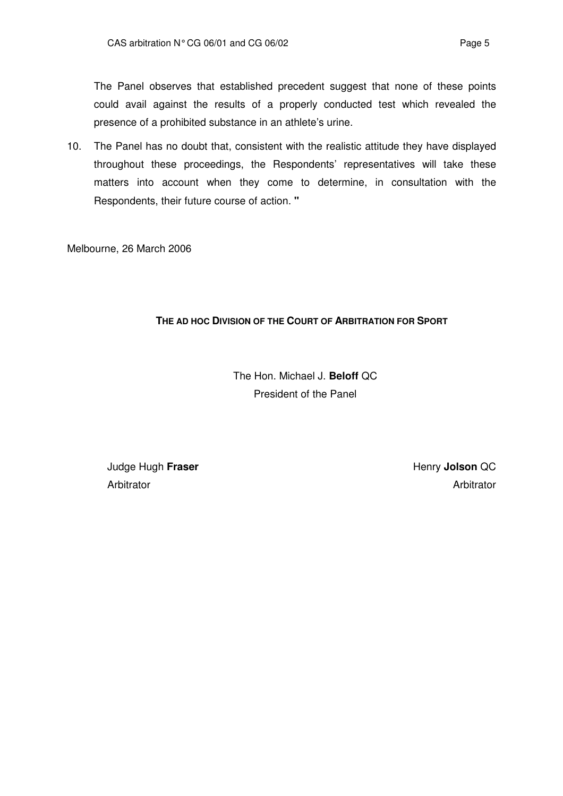The Panel observes that established precedent suggest that none of these points could avail against the results of a properly conducted test which revealed the presence of a prohibited substance in an athlete's urine.

10. The Panel has no doubt that, consistent with the realistic attitude they have displayed throughout these proceedings, the Respondents' representatives will take these matters into account when they come to determine, in consultation with the Respondents, their future course of action. **"**

Melbourne, 26 March 2006

# **THE AD HOC DIVISION OF THE COURT OF ARBITRATION FOR SPORT**

The Hon. Michael J. **Beloff** QC President of the Panel

Judge Hugh **Fraser Arbitrator** 

Henry **Jolson** QC Arbitrator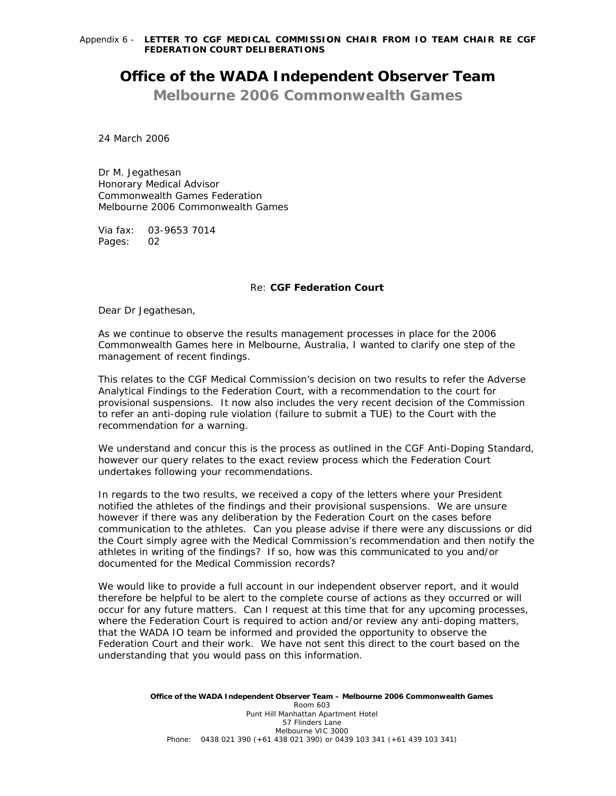# **Office of the WADA Independent Observer Team**

**Melbourne 2006 Commonwealth Games** 

24 March 2006

Dr M. Jegathesan Honorary Medical Advisor Commonwealth Games Federation Melbourne 2006 Commonwealth Games

Via fax: 03-9653 7014 Pages: 02

## *Re:* **CGF Federation Court**

Dear Dr Jegathesan,

As we continue to observe the results management processes in place for the 2006 Commonwealth Games here in Melbourne, Australia, I wanted to clarify one step of the management of recent findings.

This relates to the CGF Medical Commission's decision on two results to refer the Adverse Analytical Findings to the Federation Court, with a recommendation to the court for provisional suspensions. It now also includes the very recent decision of the Commission to refer an anti-doping rule violation (failure to submit a TUE) to the Court with the recommendation for a warning.

We understand and concur this is the process as outlined in the CGF Anti-Doping Standard, however our query relates to the exact review process which the Federation Court undertakes following your recommendations.

In regards to the two results, we received a copy of the letters where your President notified the athletes of the findings and their provisional suspensions. We are unsure however if there was any deliberation by the Federation Court on the cases before communication to the athletes. Can you please advise if there were any discussions or did the Court simply agree with the Medical Commission's recommendation and then notify the athletes in writing of the findings? If so, how was this communicated to you and/or documented for the Medical Commission records?

We would like to provide a full account in our independent observer report, and it would therefore be helpful to be alert to the complete course of actions as they occurred or will occur for any future matters. Can I request at this time that for any upcoming processes, where the Federation Court is required to action and/or review any anti-doping matters, that the WADA IO team be informed and provided the opportunity to observe the Federation Court and their work. We have not sent this direct to the court based on the understanding that you would pass on this information.

> **Office of the WADA Independent Observer Team – Melbourne 2006 Commonwealth Games**  Room 603 Punt Hill Manhattan Apartment Hotel 57 Flinders Lane Melbourne VIC 3000 *Phone:* 0438 021 390 (+61 438 021 390) or 0439 103 341 (+61 439 103 341)